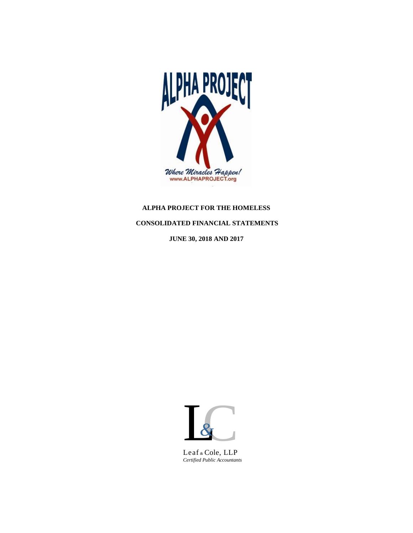

# **ALPHA PROJECT FOR THE HOMELESS**

## **CONSOLIDATED FINANCIAL STATEMENTS**

**JUNE 30, 2018 AND 2017**



*Certified Public Accountants*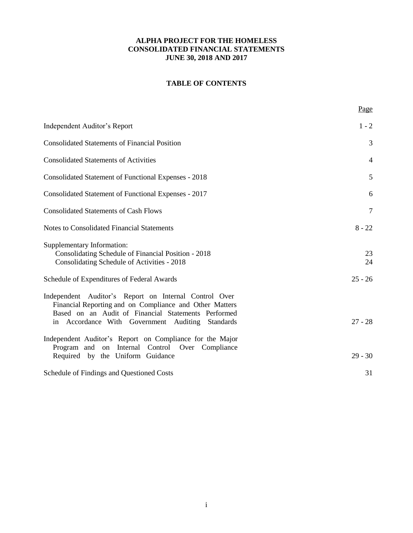# **TABLE OF CONTENTS**

Page

| Independent Auditor's Report                                                                                                                                                                                                | $1 - 2$        |
|-----------------------------------------------------------------------------------------------------------------------------------------------------------------------------------------------------------------------------|----------------|
| <b>Consolidated Statements of Financial Position</b>                                                                                                                                                                        | 3              |
| <b>Consolidated Statements of Activities</b>                                                                                                                                                                                | $\overline{4}$ |
| Consolidated Statement of Functional Expenses - 2018                                                                                                                                                                        | 5              |
| Consolidated Statement of Functional Expenses - 2017                                                                                                                                                                        | 6              |
| <b>Consolidated Statements of Cash Flows</b>                                                                                                                                                                                | 7              |
| <b>Notes to Consolidated Financial Statements</b>                                                                                                                                                                           | $8 - 22$       |
| Supplementary Information:<br>Consolidating Schedule of Financial Position - 2018<br>Consolidating Schedule of Activities - 2018                                                                                            | 23<br>24       |
| Schedule of Expenditures of Federal Awards                                                                                                                                                                                  | $25 - 26$      |
| Independent Auditor's Report on Internal Control Over<br>Financial Reporting and on Compliance and Other Matters<br>Based on an Audit of Financial Statements Performed<br>in Accordance With Government Auditing Standards | $27 - 28$      |
| Independent Auditor's Report on Compliance for the Major<br>Program and on Internal Control<br>Over Compliance<br>Required by the Uniform Guidance                                                                          | $29 - 30$      |
| Schedule of Findings and Questioned Costs                                                                                                                                                                                   | 31             |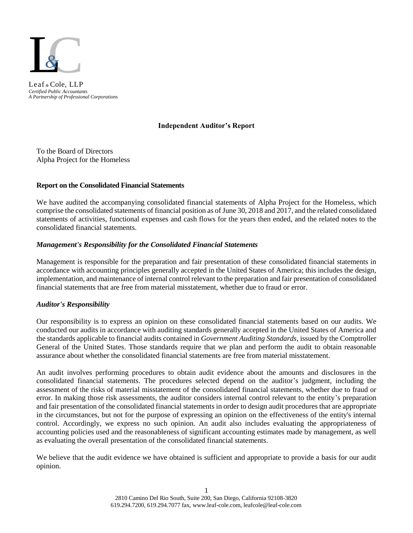

*Certified Public Accountants A Partnership of Professional Corporations*

# **Independent Auditor's Report**

To the Board of Directors Alpha Project for the Homeless

# **Report on the Consolidated Financial Statements**

We have audited the accompanying consolidated financial statements of Alpha Project for the Homeless, which comprise the consolidated statements of financial position as of June 30, 2018 and 2017, and the related consolidated statements of activities, functional expenses and cash flows for the years then ended, and the related notes to the consolidated financial statements.

## *Management's Responsibility for the Consolidated Financial Statements*

Management is responsible for the preparation and fair presentation of these consolidated financial statements in accordance with accounting principles generally accepted in the United States of America; this includes the design, implementation, and maintenance of internal control relevant to the preparation and fair presentation of consolidated financial statements that are free from material misstatement, whether due to fraud or error.

## *Auditor's Responsibility*

Our responsibility is to express an opinion on these consolidated financial statements based on our audits. We conducted our audits in accordance with auditing standards generally accepted in the United States of America and the standards applicable to financial audits contained in *Government Auditing Standards*, issued by the Comptroller General of the United States. Those standards require that we plan and perform the audit to obtain reasonable assurance about whether the consolidated financial statements are free from material misstatement.

An audit involves performing procedures to obtain audit evidence about the amounts and disclosures in the consolidated financial statements. The procedures selected depend on the auditor's judgment, including the assessment of the risks of material misstatement of the consolidated financial statements, whether due to fraud or error. In making those risk assessments, the auditor considers internal control relevant to the entity's preparation and fair presentation of the consolidated financial statements in order to design audit procedures that are appropriate in the circumstances, but not for the purpose of expressing an opinion on the effectiveness of the entity's internal control. Accordingly, we express no such opinion. An audit also includes evaluating the appropriateness of accounting policies used and the reasonableness of significant accounting estimates made by management, as well as evaluating the overall presentation of the consolidated financial statements.

We believe that the audit evidence we have obtained is sufficient and appropriate to provide a basis for our audit opinion.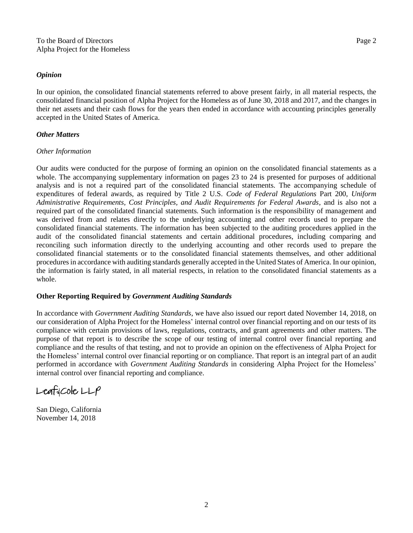#### *Opinion*

In our opinion, the consolidated financial statements referred to above present fairly, in all material respects, the consolidated financial position of Alpha Project for the Homeless as of June 30, 2018 and 2017, and the changes in their net assets and their cash flows for the years then ended in accordance with accounting principles generally accepted in the United States of America.

# *Other Matters*

## *Other Information*

Our audits were conducted for the purpose of forming an opinion on the consolidated financial statements as a whole. The accompanying supplementary information on pages 23 to 24 is presented for purposes of additional analysis and is not a required part of the consolidated financial statements. The accompanying schedule of expenditures of federal awards, as required by Title 2 U.S. *Code of Federal Regulations* Part 200, *Uniform Administrative Requirements, Cost Principles, and Audit Requirements for Federal Awards*, and is also not a required part of the consolidated financial statements*.* Such information is the responsibility of management and was derived from and relates directly to the underlying accounting and other records used to prepare the consolidated financial statements. The information has been subjected to the auditing procedures applied in the audit of the consolidated financial statements and certain additional procedures, including comparing and reconciling such information directly to the underlying accounting and other records used to prepare the consolidated financial statements or to the consolidated financial statements themselves, and other additional procedures in accordance with auditing standards generally accepted in the United States of America. In our opinion, the information is fairly stated, in all material respects, in relation to the consolidated financial statements as a whole.

# **Other Reporting Required by** *Government Auditing Standards*

In accordance with *Government Auditing Standards*, we have also issued our report dated November 14, 2018, on our consideration of Alpha Project for the Homeless' internal control over financial reporting and on our tests of its compliance with certain provisions of laws, regulations, contracts, and grant agreements and other matters. The purpose of that report is to describe the scope of our testing of internal control over financial reporting and compliance and the results of that testing, and not to provide an opinion on the effectiveness of Alpha Project for the Homeless' internal control over financial reporting or on compliance. That report is an integral part of an audit performed in accordance with *Government Auditing Standards* in considering Alpha Project for the Homeless' internal control over financial reporting and compliance.

 $L$ eaf $C$ ole  $LLP$ 

San Diego, California November 14, 2018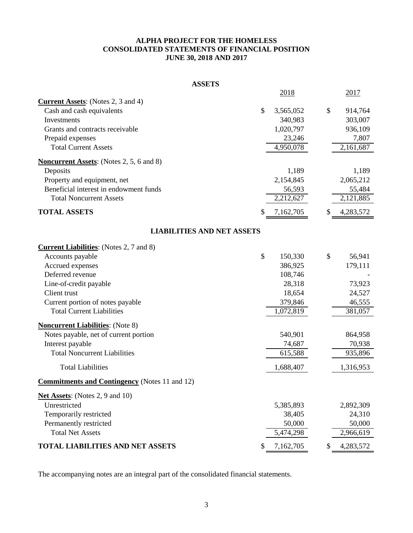# **ALPHA PROJECT FOR THE HOMELESS CONSOLIDATED STATEMENTS OF FINANCIAL POSITION JUNE 30, 2018 AND 2017**

| <b>ASSETS</b>                                        |    |           |                 |
|------------------------------------------------------|----|-----------|-----------------|
|                                                      |    | 2018      | 2017            |
| <b>Current Assets:</b> (Notes 2, 3 and 4)            |    |           |                 |
| Cash and cash equivalents                            | \$ | 3,565,052 | \$<br>914,764   |
| Investments                                          |    | 340,983   | 303,007         |
| Grants and contracts receivable                      |    | 1,020,797 | 936,109         |
| Prepaid expenses                                     |    | 23,246    | 7,807           |
| <b>Total Current Assets</b>                          |    | 4,950,078 | 2,161,687       |
| <b>Noncurrent Assets:</b> (Notes 2, 5, 6 and 8)      |    |           |                 |
| Deposits                                             |    | 1,189     | 1,189           |
| Property and equipment, net                          |    | 2,154,845 | 2,065,212       |
| Beneficial interest in endowment funds               |    | 56,593    | 55,484          |
| <b>Total Noncurrent Assets</b>                       |    | 2,212,627 | 2,121,885       |
| <b>TOTAL ASSETS</b>                                  | S  | 7,162,705 | \$<br>4,283,572 |
| <b>LIABILITIES AND NET ASSETS</b>                    |    |           |                 |
| <b>Current Liabilities:</b> (Notes 2, 7 and 8)       |    |           |                 |
| Accounts payable                                     | \$ | 150,330   | \$<br>56,941    |
| Accrued expenses                                     |    | 386,925   | 179,111         |
| Deferred revenue                                     |    | 108,746   |                 |
| Line-of-credit payable                               |    | 28,318    | 73,923          |
| Client trust                                         |    | 18,654    | 24,527          |
| Current portion of notes payable                     |    | 379,846   | 46,555          |
| <b>Total Current Liabilities</b>                     |    | 1,072,819 | 381,057         |
| <b>Noncurrent Liabilities:</b> (Note 8)              |    |           |                 |
| Notes payable, net of current portion                |    | 540,901   | 864,958         |
| Interest payable                                     |    | 74,687    | 70,938          |
| <b>Total Noncurrent Liabilities</b>                  |    | 615,588   | 935,896         |
| <b>Total Liabilities</b>                             |    | 1,688,407 | 1,316,953       |
| <b>Commitments and Contingency</b> (Notes 11 and 12) |    |           |                 |
| Net Assets: (Notes 2, 9 and 10)                      |    |           |                 |
| Unrestricted                                         |    | 5,385,893 | 2,892,309       |
| Temporarily restricted                               |    | 38,405    | 24,310          |
| Permanently restricted                               |    | 50,000    | 50,000          |
| <b>Total Net Assets</b>                              |    | 5,474,298 | 2,966,619       |
| <b>TOTAL LIABILITIES AND NET ASSETS</b>              | \$ | 7,162,705 | \$<br>4,283,572 |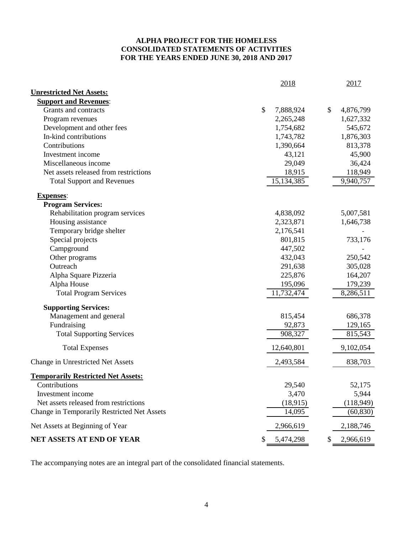# **ALPHA PROJECT FOR THE HOMELESS CONSOLIDATED STATEMENTS OF ACTIVITIES FOR THE YEARS ENDED JUNE 30, 2018 AND 2017**

|                                             | 2018            | 2017            |
|---------------------------------------------|-----------------|-----------------|
| <b>Unrestricted Net Assets:</b>             |                 |                 |
| <b>Support and Revenues:</b>                |                 |                 |
| Grants and contracts                        | \$<br>7,888,924 | \$<br>4,876,799 |
| Program revenues                            | 2,265,248       | 1,627,332       |
| Development and other fees                  | 1,754,682       | 545,672         |
| In-kind contributions                       | 1,743,782       | 1,876,303       |
| Contributions                               | 1,390,664       | 813,378         |
| Investment income                           | 43,121          | 45,900          |
| Miscellaneous income                        | 29,049          | 36,424          |
| Net assets released from restrictions       | 18,915          | 118,949         |
| <b>Total Support and Revenues</b>           | 15, 134, 385    | 9,940,757       |
| <b>Expenses:</b>                            |                 |                 |
| <b>Program Services:</b>                    |                 |                 |
| Rehabilitation program services             | 4,838,092       | 5,007,581       |
| Housing assistance                          | 2,323,871       | 1,646,738       |
| Temporary bridge shelter                    | 2,176,541       |                 |
| Special projects                            | 801,815         | 733,176         |
| Campground                                  | 447,502         |                 |
| Other programs                              | 432,043         | 250,542         |
| Outreach                                    | 291,638         | 305,028         |
| Alpha Square Pizzeria                       | 225,876         | 164,207         |
| Alpha House                                 | 195,096         | 179,239         |
| <b>Total Program Services</b>               | 11,732,474      | 8,286,511       |
| <b>Supporting Services:</b>                 |                 |                 |
| Management and general                      | 815,454         | 686,378         |
| Fundraising                                 | 92,873          | 129,165         |
| <b>Total Supporting Services</b>            | 908,327         | 815,543         |
| <b>Total Expenses</b>                       | 12,640,801      | 9,102,054       |
| Change in Unrestricted Net Assets           | 2,493,584       | 838,703         |
| <b>Temporarily Restricted Net Assets:</b>   |                 |                 |
| Contributions                               | 29,540          | 52,175          |
| Investment income                           | 3,470           | 5,944           |
| Net assets released from restrictions       | (18, 915)       | (118,949)       |
| Change in Temporarily Restricted Net Assets | 14,095          | (60, 830)       |
| Net Assets at Beginning of Year             | 2,966,619       | 2,188,746       |
| NET ASSETS AT END OF YEAR                   | 5,474,298<br>\$ | \$<br>2,966,619 |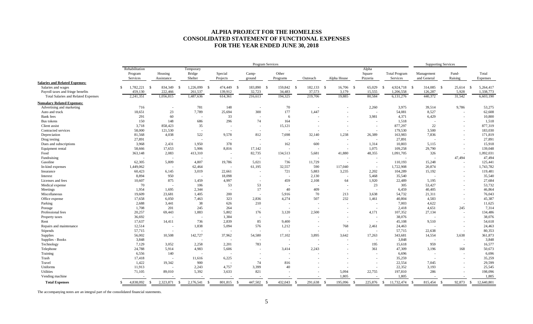# **ALPHA PROJECT FOR THE HOMELESS CONSOLIDATED STATEMENT OF FUNCTIONAL EXPENSES FOR THE YEAR ENDED JUNE 30, 2018**

|                                            |                     |                          |                           |                          |                          | <b>Program Services</b>  |                          |                          |                          |                                  | <b>Supporting Services</b> |                  |                   |
|--------------------------------------------|---------------------|--------------------------|---------------------------|--------------------------|--------------------------|--------------------------|--------------------------|--------------------------|--------------------------|----------------------------------|----------------------------|------------------|-------------------|
|                                            | Rehabilitation      |                          | Temporary                 |                          |                          |                          |                          |                          | Alpha                    |                                  |                            |                  |                   |
|                                            | Program<br>Services | Housing<br>Assistance    | <b>Bridge</b><br>Shelter  | Special<br>Projects      | Camp-<br>ground          | Other<br>Programs        | Outreach                 | Alpha House              | Square<br>Pizzeria       | <b>Total Program</b><br>Services | Management<br>and General  | Fund-<br>Raising | Total<br>Expenses |
| <b>Salaries and Related Expenses:</b>      |                     |                          |                           |                          |                          |                          |                          |                          |                          |                                  |                            |                  |                   |
| Salaries and wages                         | 1,782,221<br>\$     | 834,349<br>- \$          | 1,226,099<br>- \$<br>- \$ | 474,449 \$               | 183,890                  | 159,842 \$<br>- \$       | 182,133 \$               | 16,706 \$                | 65,029                   | 4,924,718 \$<br>-S               | 314,085 \$                 | $25,614$ \$      | 5,264,417         |
| Payroll taxes and fringe benefits          | 459,130             | 222,466                  | 261,537                   | 139,912                  | 32,723                   | 34,483                   | 37,573                   | 3,179                    | 15,555                   | 1,206,558                        | 126,287                    | 5,928            | 1,338,773         |
| <b>Total Salaries and Related Expenses</b> | 2,241,351           | 1,056,815                | 1,487,636                 | 614,361                  | 216,613                  | 194,325                  | 219,706                  | 19,885                   | 80,584                   | 6,131,276                        | 440,372                    | 31,542           | 6,603,190         |
| <b>Nonsalary Related Expenses:</b>         |                     |                          |                           |                          |                          |                          |                          |                          |                          |                                  |                            |                  |                   |
| Advertising and marketing                  | 716                 |                          | 781                       | 148                      | $\sim$                   | 70                       |                          |                          | 2,260                    | 3,975                            | 39,514                     | 9,786            | 53,275            |
| Auto and truck                             | 18,651              | 23                       | 7,789                     | 25,694                   | 300                      | 177                      | 1,447                    |                          | $\sim$                   | 54,081                           | 8,527                      |                  | 62,608            |
| <b>Bank</b> fees                           | 291                 | 60                       | $\overline{\phantom{a}}$  | 33                       | $\overline{\phantom{a}}$ | 6                        |                          |                          | 3,981                    | 4,371                            | 6,429                      |                  | 10,800            |
| Bus tokens                                 | 150                 | 148                      | 686                       | 296                      | 74                       | 164                      |                          |                          | $\overline{a}$           | 1,518                            |                            |                  | 1,518             |
| Client assist                              | 3,718               | 858,423                  | 35                        |                          | $\sim$                   | 15,121                   |                          |                          | $\sim$                   | 877,297                          | 22                         |                  | 877,319           |
| Contracted services                        | 58,000              | 121,530                  | $\overline{\phantom{a}}$  | $\sim$                   | $\sim$                   | $\sim$                   | $\overline{a}$           | $\overline{a}$           | $\sim$                   | 179,530                          | 3,500                      |                  | 183,030           |
| Depreciation                               | 81,568              | 4,038                    | 522                       | 9,578                    | 812                      | 7,698                    | 32,140                   | 1,238                    | 26,389                   | 163,983                          | 7,836                      |                  | 171,819           |
| Drug testing                               | 27,891              | $\sim$                   |                           | $\sim$                   | $\sim$                   | $\sim$                   |                          |                          | $\overline{\phantom{a}}$ | 27,891                           |                            |                  | 27,891            |
| Dues and subscriptions                     | 3,968               | 2,431                    | 1,950                     | 378                      | $\sim$                   | 162                      | 600                      | $\sim$                   | 1,314                    | 10,803                           | 5,115                      | $\sim$           | 15,918            |
| Equipment rental                           | 58,666              | 17,653                   | 5,906                     | 8,816                    | 17,142                   | $\sim$                   |                          | $\overline{\phantom{a}}$ | 1,075                    | 109,258                          | 29,790                     | $\sim$           | 139,048           |
| Food                                       | 363,148             | 2,083                    | 413,310                   | $\sim$                   | 82,735                   | 134,513                  | 5,681                    | 41,880                   | 48,355                   | 1,091,705                        | 326                        | $\sim$           | 1,092,031         |
| Fundraising                                |                     | $\sim$                   |                           |                          | ÷                        | $\sim$                   | $\overline{\phantom{a}}$ | ۰.                       | $\overline{\phantom{a}}$ |                                  | $\overline{a}$             | 47,494           | 47,494            |
| Gasoline                                   | 62,305              | 5,809                    | 4,807                     | 19,786                   | 5,021                    | 736                      | 11,729                   | $\overline{\phantom{a}}$ | $\sim$                   | 110,193                          | 15,248                     |                  | 125,441           |
| In-kind expenses                           | 1,449,062           | $\sim$                   | 62,464                    | $\sim$                   | 61,195                   | 32,557                   | 590                      | 117,040                  | $\overline{\phantom{a}}$ | 1,722,908                        | 20,874                     |                  | 1,743,782         |
| Insurance                                  | 60,423              | 6,145                    | 3,019                     | 22,661                   |                          | 721                      | 5,883                    | 3,235                    | 2,202                    | 104,289                          | 15,192                     |                  | 119,481           |
| Interest                                   | 8,894               | 950                      | $\overline{\phantom{a}}$  | 18,098                   | $\sim$                   |                          | 2,130                    |                          | 5,468                    | 35,540                           |                            |                  | 35,540            |
| Licenses and fees                          | 10,607              | 875                      | 1,459                     | 4,997                    | $\sim$                   | 459                      | 2,108                    | 64                       | 1,920                    | 22,489                           | 5,195                      |                  | 27,684            |
| Medical expense                            | 70                  |                          | 106                       | 53                       | 53                       |                          |                          |                          | 23                       | 305                              | 53,427                     |                  | 53,732            |
| Meetings                                   | 1,954               | 1,695                    | 2,344                     | $\overline{\phantom{a}}$ | 17                       | 40                       | 409                      | $\sim$                   | $\sim$                   | 6,459                            | 40,405                     |                  | 46,864            |
| Miscellaneous                              | 19,609              | 23,681                   | 1,405                     | 200                      | ÷.                       | 5,916                    | 70                       | 213                      | 3,638                    | 54,732                           | 21,311                     |                  | 76,043            |
| Office expense                             | 17,658              | 6,050                    | 7,463                     | 323                      | 2,836                    | 4,274                    | 507                      | 232                      | 1,461                    | 40,804                           | 4,583                      | $\sim$           | 45,387            |
| Parking                                    | 2,688               | 3,441                    | 38                        | 626                      | 210                      | $\sim$                   | ÷,                       |                          | $\sim$                   | 7,003                            | 4,622                      | $\sim$           | 11,625            |
| Postage                                    | 1,708               | 201                      | 245                       | 264                      | $\sim$                   | $\sim$                   |                          |                          | $\overline{\phantom{a}}$ | 2,418                            | 4,651                      | 245              | 7,314             |
| Professional fees                          | 20,257              | 69,443                   | 1,883                     | 5,802                    | 176                      | 3,120                    | 2,500                    | $\sim$                   | 4,171                    | 107,352                          | 27,134                     | $\sim$           | 134,486           |
| Property taxes                             | 36,692              | $\sim$                   | $\overline{\phantom{a}}$  | 1,384                    | $\sim$                   | $\sim$                   |                          |                          | $\overline{\phantom{a}}$ | 38,076                           |                            |                  | 38,076            |
| Rent                                       | 17,637              | 14,411                   | 736                       | 2,839                    | 85                       | 9,400                    | $\overline{\phantom{a}}$ | $\overline{\phantom{a}}$ | $\sim$                   | 45,108                           | 9,510                      | $\sim$           | 54,618            |
| Repairs and maintenance                    | 12,514              | $\sim$                   | 1,838                     | 5,094                    | 576                      | 1,212                    |                          | 768                      | 2,461                    | 24,463                           |                            |                  | 24,463            |
| Stipends                                   | 57,715              | $\overline{\phantom{a}}$ |                           |                          |                          | $\overline{\phantom{a}}$ | $\overline{\phantom{a}}$ |                          | $\overline{\phantom{a}}$ | 57,715                           | 22,638                     | $\sim$           | 80,353            |
| Supplies                                   | 56,002              | 10,508                   | 142,727                   | 37,962                   | 54,580                   | 17,102                   | 3,895                    | 3,642                    | 17,263                   | 343,681                          | 14,554                     | 3,638            | 361,873           |
| Supplies - Books                           | 3,848               |                          |                           |                          |                          |                          |                          |                          |                          | 3,848                            |                            |                  | 3,848             |
| Technology                                 | 7,129               | 3,052                    | 2,258                     | 2,201                    | 783                      |                          |                          |                          | 195                      | 15,618                           | 959                        |                  | 16,577            |
| Telephone                                  | 24,788              | 5,914                    | 4,983                     | 5.606                    | $\sim$                   | 3,414                    | 2,243                    |                          | 361                      | 47,309                           | 3,196                      | 168              | 50,673            |
| Training                                   | 6,556               | 140                      |                           |                          | $\sim$                   |                          |                          |                          | $\overline{a}$           | 6,696                            | $\sim$                     |                  | 6,696             |
| Trash                                      | 17,418              | $\overline{a}$           | 11,616                    | 6,225                    | $\sim$                   |                          |                          |                          | $\overline{a}$           | 35,259                           | $\sim$                     |                  | 35,259            |
| Travel                                     | 1,422               | 19,342                   | 900                       | $\sim$                   | 74                       | 816                      |                          |                          | $\sim$                   | 22,554                           | 7,045                      |                  | 29,599            |
| Uniforms                                   | 11,913              | $\sim$                   | 2,243                     | 4,757                    | 3,399                    | 40                       |                          | $\overline{a}$           | $\sim$                   | 22,352                           | 3,193                      |                  | 25,545            |
| Utilities                                  | 71,105              | 89,010                   | 5,392                     | 3,633                    | 821                      |                          |                          | 5,094                    | 22,755                   | 197,810                          | 286                        |                  | 198,096           |
| Vending machine                            |                     |                          |                           |                          |                          |                          |                          | 1,805                    |                          | 1,805                            |                            |                  | 1,805             |
| <b>Total Expenses</b>                      | 4,838,092           | 2,323,871<br>S           | 2,176,541<br>-\$          | 801,815<br>-S            | 447,502<br>-S            | 432,043<br>£.            | 291,638                  | 195,096<br>-S            | 225,876                  | 11,732,474<br>-8                 | 815,454                    | 92,873           | 12,640,801<br>-S  |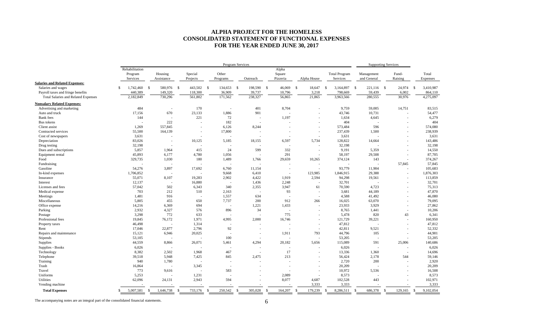# **ALPHA PROJECT FOR THE HOMELESS CONSOLIDATED STATEMENT OF FUNCTIONAL EXPENSES FOR THE YEAR ENDED JUNE 30, 2017**

|                                            |                       |                 |                    |          | Program Services |                          |                          |                           |                    | <b>Supporting Services</b> |                   |
|--------------------------------------------|-----------------------|-----------------|--------------------|----------|------------------|--------------------------|--------------------------|---------------------------|--------------------|----------------------------|-------------------|
|                                            | Rehabilitation        |                 |                    |          |                  | Alpha                    |                          |                           |                    |                            |                   |
|                                            | Program               | Housing         | Special            | Other    |                  | Square                   |                          | <b>Total Program</b>      | Management         | Fund-                      | Total             |
|                                            | Services              | Assistance      | Projects           | Programs | Outreach         | Pizzeria                 | Alpha House              | Services                  | and General        | Raising                    | Expenses          |
| <b>Salaries and Related Expenses:</b>      |                       |                 |                    |          |                  |                          |                          |                           |                    |                            |                   |
| Salaries and wages                         | 1,742,460<br><b>S</b> | 580,976<br>- \$ | 443,502 \$<br>- \$ | 134,653  | 198,590 \$<br>-S | 46,069                   | $\mathbb{S}$<br>18,647   | 3,164,897<br>$\mathbb{S}$ | 221,116 \$<br>- \$ | 24,974                     | 3,410,987<br>- \$ |
| Payroll taxes and fringe benefits          | 440.389               | 149,320         | 118,300            | 36,909   | 39,737           | 10,796                   | 3,218                    | 798,669                   | 59,439             | 6.002                      | 864,110           |
| <b>Total Salaries and Related Expenses</b> | 2,182,849             | 730,296         | 561,802            | 171,562  | 238,327          | 56,865                   | 21,865                   | 3,963,566                 | 280,555            | 30,976                     | 4,275,097         |
| <b>Nonsalary Related Expenses:</b>         |                       |                 |                    |          |                  |                          |                          |                           |                    |                            |                   |
| Advertising and marketing                  | 484                   | ÷,              | 170                |          | 401              | 8,704                    |                          | 9,759                     | 59,005             | 14,751                     | 83,515            |
| Auto and truck                             | 17,156                | 670             | 23,133             | 1,886    | 901              |                          |                          | 43,746                    | 10,731             |                            | 54,477            |
| <b>Bank</b> fees                           | 144                   |                 | 221                | 72       | $\sim$           | 1,197                    | $\overline{\phantom{a}}$ | 1,634                     | 4,645              |                            | 6,279             |
| Bus tokens                                 |                       | 222             |                    | 182      | $\sim$           |                          |                          | 404                       |                    |                            | 404               |
| Client assist                              | 1,269                 | 557,845         |                    | 6,126    | 8,244            |                          | $\bar{a}$                | 573,484                   | 596                |                            | 574,080           |
| Contracted services                        | 55,500                | 164,139         | $\sim$             | 17,800   |                  |                          | $\sim$                   | 237,439                   | 1,500              |                            | 238,939           |
| Cost of newspapers                         | 3,631                 |                 |                    |          |                  |                          | ÷,                       | 3,631                     |                    |                            | 3,631             |
| Depreciation                               | 83,026                |                 | 10,125             | 5,185    | 18,155           | 6,597                    | 5,734                    | 128,822                   | 14,664             |                            | 143,486           |
| Drug testing                               | 32,198                |                 |                    |          | $\sim$           |                          | ä,                       | 32,198                    |                    |                            | 32,198            |
| Dues and subscriptions                     | 5,857                 | 1,964           | 415                | 24       | 599              | 332                      | $\bar{a}$                | 9,191                     | 5,359              |                            | 14,550            |
| Equipment rental                           | 45,893                | 6,177           | 4,780              | 1,056    | $\sim$           | 291                      | $\sim$                   | 58,197                    | 29,508             |                            | 87,705            |
| Food                                       | 329,735               | 1,030           | 180                | 1,489    | 1,766            | 29,659                   | 10,265                   | 374,124                   | 143                |                            | 374,267           |
| Fundraising                                |                       |                 |                    |          |                  |                          |                          |                           |                    | 57,845                     | 57,845            |
| Gasoline                                   | 54,276                | 3,897           | 17,692             | 6,760    | 11,154           | $\overline{\phantom{a}}$ |                          | 93,779                    | 11,904             |                            | 105,683           |
| In-kind expenses                           | 1,706,852             |                 |                    | 9,668    | 6,410            | $\overline{a}$           | 123,985                  | 1,846,915                 | 29,388             |                            | 1,876,303         |
| Insurance                                  | 55,071                | 8,107           | 19,283             | 2,902    | 4,422            | 1,919                    | 2,594                    | 94,298                    | 19,561             |                            | 113,859           |
| Interest                                   | 12,137                | $\sim$          | 16,880             |          | 1,436            | 2,248                    | $\sim$                   | 32,701                    |                    |                            | 32,701            |
| Licenses and fees                          | 57,042                | 502             | 6,343              | 340      | 2,355            | 3,947                    | 61                       | 70,590                    | 4,723              |                            | 75,313            |
| Medical expense                            | 703                   | 212             | 510                | 2,163    | $\sim$           | 93                       | $\overline{\phantom{a}}$ | 3,681                     | 44,189             |                            | 47,870            |
| Meetings                                   | 1,481                 | 916             | $\sim$             | 1,557    | 634              | ÷,                       | ÷.                       | 4,588                     | 41,492             |                            | 46,080            |
| Miscellaneous                              | 5,805                 | 455             | 650                | 7,737    | 200              | 912                      | 266                      | 16,025                    | 63,070             |                            | 79,095            |
| Office expense                             | 14,216                | 6,369           | 694                |          | 1,221            | 1,433                    | $\sim$                   | 23,933                    | 3,929              |                            | 27,862            |
| Parking                                    | 2,932                 | 4,327           | 576                | 896      | 34               |                          | $\sim$                   | 8,765                     | 1,441              | ä,                         | 10,206            |
| Postage                                    | 3,298                 | 772             | 633                |          | ÷.               | 775                      | $\overline{a}$           | 5,478                     | 820                | 43                         | 6,341             |
| Professional fees                          | 19,845                | 76,172          | 1,971              | 4,995    | 2,000            | 16,746                   | $\sim$                   | 121,729                   | 39,221             |                            | 160,950           |
| Property taxes                             | 46,498                |                 | 1,314              |          |                  |                          | $\sim$                   | 47,812                    |                    |                            | 47,812            |
| Rent                                       | 17,046                | 22,877          | 2,796              | 92       |                  |                          | ÷.                       | 42,811                    | 9,521              |                            | 52,332            |
| Repairs and maintenance                    | 15,121                | 6,946           | 20,025             |          | $\sim$           | 1,911                    | 793                      | 44,796                    | 105                |                            | 44,901            |
| Stipends                                   | 53,105                |                 |                    | 100      | $\sim$           |                          | ä,                       | 53,205                    | $\sim$             |                            | 53,205            |
| Supplies                                   | 44,559                | 8,866           | 26,071             | 5,461    | 4,294            | 20,182                   | 5,656                    | 115,089                   | 591                | 25,006                     | 140,686           |
| Supplies - Books                           | 6,026                 |                 |                    |          | $\overline{a}$   | ÷,                       | ÷,                       | 6,026                     | $\overline{a}$     |                            | 6,026             |
| Technology                                 | 8,382                 | 2,502           | 1,968              | 467      | $\sim$           | 17                       | ä,                       | 13,336                    | 1,360              |                            | 14,696            |
| Telephone                                  | 39,518                | 5,948           | 7,425              | 845      | 2,475            | 213                      | $\sim$                   | 56,424                    | 2,178              | 544                        | 59,146            |
| Training                                   | 940                   | 1,780           |                    |          |                  |                          | ä,                       | 2,720                     | 200                |                            | 2,920             |
| Trash                                      | 16,864                |                 | 3,345              |          |                  |                          | $\bar{a}$                | 20,209                    |                    |                            | 20,209            |
| Travel                                     | 773                   | 9,616           |                    | 583      |                  |                          | $\bar{a}$                | 10,972                    | 5,536              |                            | 16,508            |
| Uniforms                                   | 5,253                 |                 | 1,231              |          |                  | 2,089                    |                          | 8,573                     |                    |                            | 8,573             |
| Utilities                                  | 62,096                | 24,131          | 2,943              | 594      |                  | 8,077                    | 4,687                    | 102,528                   | 443                |                            | 102,971           |
| Vending machine                            |                       |                 |                    |          |                  |                          | 3,333                    | 3,333                     |                    |                            | 3,333             |
| <b>Total Expenses</b>                      | 5,007,581<br>-8       | 1,646,738<br>\$ | 733,176            | 250,542  | 305,028          | 164,207<br>£.            | 179,239                  | 8,286,511                 | 686,378<br>£.      | 129,165<br>£.              | 9,102,054<br>S.   |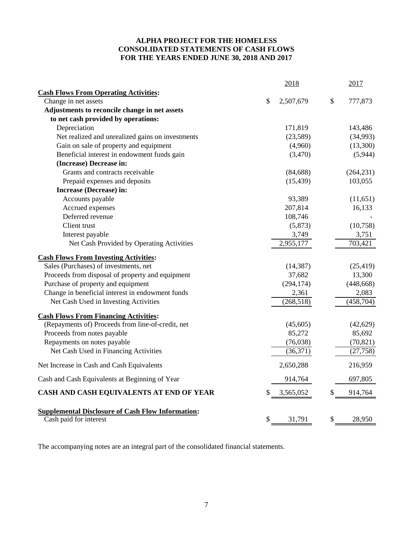# **ALPHA PROJECT FOR THE HOMELESS CONSOLIDATED STATEMENTS OF CASH FLOWS FOR THE YEARS ENDED JUNE 30, 2018 AND 2017**

|                                                          | 2018            |    | 2017       |
|----------------------------------------------------------|-----------------|----|------------|
| <b>Cash Flows From Operating Activities:</b>             |                 |    |            |
| Change in net assets                                     | \$<br>2,507,679 | \$ | 777,873    |
| Adjustments to reconcile change in net assets            |                 |    |            |
| to net cash provided by operations:                      |                 |    |            |
| Depreciation                                             | 171,819         |    | 143,486    |
| Net realized and unrealized gains on investments         | (23,589)        |    | (34,993)   |
| Gain on sale of property and equipment                   | (4,960)         |    | (13,300)   |
| Beneficial interest in endowment funds gain              | (3,470)         |    | (5,944)    |
| (Increase) Decrease in:                                  |                 |    |            |
| Grants and contracts receivable                          | (84, 688)       |    | (264, 231) |
| Prepaid expenses and deposits                            | (15, 439)       |    | 103,055    |
| Increase (Decrease) in:                                  |                 |    |            |
| Accounts payable                                         | 93,389          |    | (11,651)   |
| Accrued expenses                                         | 207,814         |    | 16,133     |
| Deferred revenue                                         | 108,746         |    |            |
| Client trust                                             | (5,873)         |    | (10,758)   |
| Interest payable                                         | 3,749           |    | 3,751      |
| Net Cash Provided by Operating Activities                | 2,955,177       |    | 703,421    |
| <b>Cash Flows From Investing Activities:</b>             |                 |    |            |
| Sales (Purchases) of investments, net                    | (14, 387)       |    | (25, 419)  |
| Proceeds from disposal of property and equipment         | 37,682          |    | 13,300     |
| Purchase of property and equipment                       | (294, 174)      |    | (448, 668) |
| Change in beneficial interest in endowment funds         | 2,361           |    | 2,083      |
| Net Cash Used in Investing Activities                    | (268, 518)      |    | (458, 704) |
| <b>Cash Flows From Financing Activities:</b>             |                 |    |            |
| (Repayments of) Proceeds from line-of-credit, net        | (45, 605)       |    | (42, 629)  |
| Proceeds from notes payable                              | 85,272          |    | 85,692     |
| Repayments on notes payable                              | (76,038)        |    | (70, 821)  |
| Net Cash Used in Financing Activities                    | (36,371)        |    | (27, 758)  |
| Net Increase in Cash and Cash Equivalents                | 2,650,288       |    | 216,959    |
| Cash and Cash Equivalents at Beginning of Year           | 914,764         |    | 697,805    |
| CASH AND CASH EQUIVALENTS AT END OF YEAR                 | \$<br>3,565,052 | S  | 914,764    |
| <b>Supplemental Disclosure of Cash Flow Information:</b> |                 |    |            |
| Cash paid for interest                                   | \$<br>31,791    | \$ | 28,950     |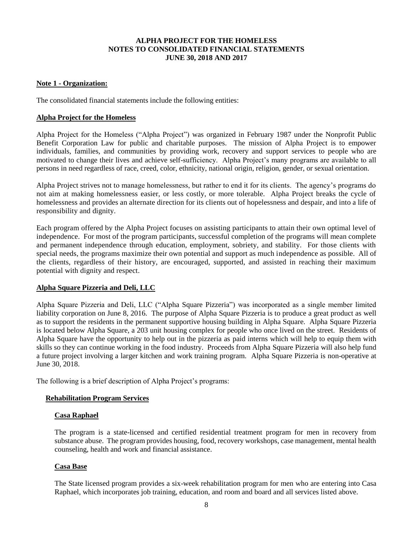## **Note 1 - Organization:**

The consolidated financial statements include the following entities:

## **Alpha Project for the Homeless**

Alpha Project for the Homeless ("Alpha Project") was organized in February 1987 under the Nonprofit Public Benefit Corporation Law for public and charitable purposes. The mission of Alpha Project is to empower individuals, families, and communities by providing work, recovery and support services to people who are motivated to change their lives and achieve self-sufficiency. Alpha Project's many programs are available to all persons in need regardless of race, creed, color, ethnicity, national origin, religion, gender, or sexual orientation.

Alpha Project strives not to manage homelessness, but rather to end it for its clients. The agency's programs do not aim at making homelessness easier, or less costly, or more tolerable. Alpha Project breaks the cycle of homelessness and provides an alternate direction for its clients out of hopelessness and despair, and into a life of responsibility and dignity.

Each program offered by the Alpha Project focuses on assisting participants to attain their own optimal level of independence. For most of the program participants, successful completion of the programs will mean complete and permanent independence through education, employment, sobriety, and stability. For those clients with special needs, the programs maximize their own potential and support as much independence as possible. All of the clients, regardless of their history, are encouraged, supported, and assisted in reaching their maximum potential with dignity and respect.

#### **Alpha Square Pizzeria and Deli, LLC**

Alpha Square Pizzeria and Deli, LLC ("Alpha Square Pizzeria") was incorporated as a single member limited liability corporation on June 8, 2016. The purpose of Alpha Square Pizzeria is to produce a great product as well as to support the residents in the permanent supportive housing building in Alpha Square. Alpha Square Pizzeria is located below Alpha Square, a 203 unit housing complex for people who once lived on the street. Residents of Alpha Square have the opportunity to help out in the pizzeria as paid interns which will help to equip them with skills so they can continue working in the food industry. Proceeds from Alpha Square Pizzeria will also help fund a future project involving a larger kitchen and work training program. Alpha Square Pizzeria is non-operative at June 30, 2018.

The following is a brief description of Alpha Project's programs:

## **Rehabilitation Program Services**

#### **Casa Raphael**

The program is a state-licensed and certified residential treatment program for men in recovery from substance abuse. The program provides housing, food, recovery workshops, case management, mental health counseling, health and work and financial assistance.

## **Casa Base**

The State licensed program provides a six-week rehabilitation program for men who are entering into Casa Raphael, which incorporates job training, education, and room and board and all services listed above.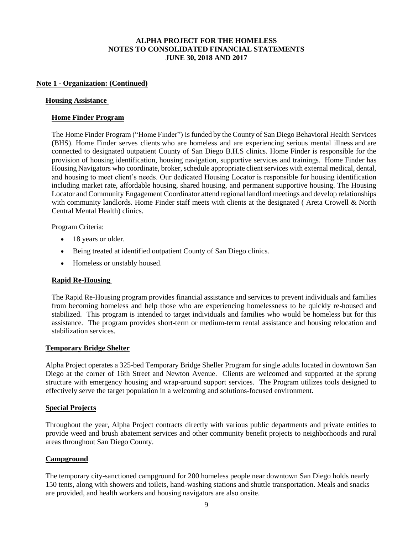#### **Note 1 - Organization: (Continued)**

#### **Housing Assistance**

#### **Home Finder Program**

The Home Finder Program ("Home Finder") is funded by the County of San Diego Behavioral Health Services (BHS). Home Finder serves clients who are homeless and are experiencing serious mental illness and are connected to designated outpatient County of San Diego B.H.S clinics. Home Finder is responsible for the provision of housing identification, housing navigation, supportive services and trainings. Home Finder has Housing Navigators who coordinate, broker, schedule appropriate client services with external medical, dental, and housing to meet client's needs. Our dedicated Housing Locator is responsible for housing identification including market rate, affordable housing, shared housing, and permanent supportive housing. The Housing Locator and Community Engagement Coordinator attend regional landlord meetings and develop relationships with community landlords. Home Finder staff meets with clients at the designated (Areta Crowell & North Central Mental Health) clinics.

Program Criteria:

- 18 years or older.
- Being treated at identified outpatient County of San Diego clinics.
- Homeless or unstably housed.

#### **Rapid Re-Housing**

The Rapid Re-Housing program provides financial assistance and services to prevent individuals and families from becoming homeless and help those who are experiencing homelessness to be quickly re-housed and stabilized. This program is intended to target individuals and families who would be homeless but for this assistance. The program provides short-term or medium-term rental assistance and housing relocation and stabilization services.

#### **Temporary Bridge Shelter**

Alpha Project operates a 325-bed Temporary Bridge Sheller Program for single adults located in downtown San Diego at the corner of 16th Street and Newton Avenue. Clients are welcomed and supported at the sprung structure with emergency housing and wrap-around support services. The Program utilizes tools designed to effectively serve the target population in a welcoming and solutions-focused environment.

#### **Special Projects**

Throughout the year, Alpha Project contracts directly with various public departments and private entities to provide weed and brush abatement services and other community benefit projects to neighborhoods and rural areas throughout San Diego County.

## **Campground**

The temporary city-sanctioned campground for 200 homeless people near downtown San Diego holds nearly 150 tents, along with showers and toilets, hand-washing stations and shuttle transportation. Meals and snacks are provided, and health workers and housing navigators are also onsite.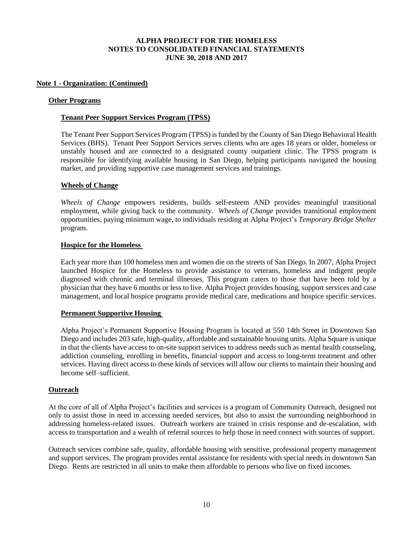## **Note 1 - Organization: (Continued)**

#### **Other Programs**

### **Tenant Peer Support Services Program (TPSS)**

The Tenant Peer Support Services Program (TPSS) is funded by the County of San Diego Behavioral Health Services (BHS). Tenant Peer Support Services serves clients who are ages 18 years or older, homeless or unstably housed and are connected to a designated county outpatient clinic. The TPSS program is responsible for identifying available housing in San Diego, helping participants navigated the housing market, and providing supportive case management services and trainings.

#### **Wheels of Change**

*Wheels of Change* empowers residents, builds self-esteem AND provides meaningful transitional employment, while giving back to the community. *Wheels of Change* provides transitional employment opportunities, paying minimum wage, to individuals residing at Alpha Project's *Temporary Bridge Shelter* program.

#### **Hospice for the Homeless**

Each year more than 100 homeless men and women die on the streets of San Diego. In 2007, Alpha Project launched Hospice for the Homeless to provide assistance to veterans, homeless and indigent people diagnosed with chronic and terminal illnesses. This program caters to those that have been told by a physician that they have 6 months or less to live. Alpha Project provides housing, support services and case management, and local hospice programs provide medical care, medications and hospice specific services.

#### **Permanent Supportive Housing**

Alpha Project's Permanent Supportive Housing Program is located at 550 14th Street in Downtown San Diego and includes 203 safe, high-quality, affordable and sustainable housing units. Alpha Square is unique in that the clients have access to on-site support services to address needs such as mental health counseling, addiction counseling, enrolling in benefits, financial support and access to long-term treatment and other services. Having direct access to these kinds of services will allow our clients to maintain their housing and become self–sufficient.

#### **Outreach**

At the core of all of Alpha Project's facilities and services is a program of Community Outreach, designed not only to assist those in need in accessing needed services, but also to assist the surrounding neighborhood in addressing homeless-related issues. Outreach workers are trained in crisis response and de-escalation, with access to transportation and a wealth of referral sources to help those in need connect with sources of support.

Outreach services combine safe, quality, affordable housing with sensitive, professional property management and support services. The program provides rental assistance for residents with special needs in downtown San Diego. Rents are restricted in all units to make them affordable to persons who live on fixed incomes.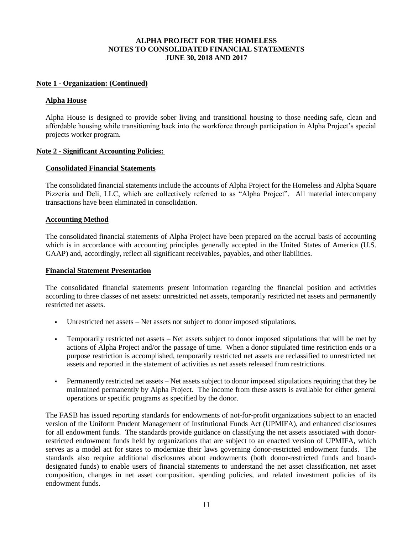## **Note 1 - Organization: (Continued)**

# **Alpha House**

Alpha House is designed to provide sober living and transitional housing to those needing safe, clean and affordable housing while transitioning back into the workforce through participation in Alpha Project's special projects worker program.

# **Note 2 - Significant Accounting Policies:**

# **Consolidated Financial Statements**

The consolidated financial statements include the accounts of Alpha Project for the Homeless and Alpha Square Pizzeria and Deli, LLC, which are collectively referred to as "Alpha Project". All material intercompany transactions have been eliminated in consolidation.

## **Accounting Method**

The consolidated financial statements of Alpha Project have been prepared on the accrual basis of accounting which is in accordance with accounting principles generally accepted in the United States of America (U.S. GAAP) and, accordingly, reflect all significant receivables, payables, and other liabilities.

## **Financial Statement Presentation**

The consolidated financial statements present information regarding the financial position and activities according to three classes of net assets: unrestricted net assets, temporarily restricted net assets and permanently restricted net assets.

- Unrestricted net assets Net assets not subject to donor imposed stipulations.
- Temporarily restricted net assets Net assets subject to donor imposed stipulations that will be met by actions of Alpha Project and/or the passage of time. When a donor stipulated time restriction ends or a purpose restriction is accomplished, temporarily restricted net assets are reclassified to unrestricted net assets and reported in the statement of activities as net assets released from restrictions.
- Permanently restricted net assets Net assets subject to donor imposed stipulations requiring that they be maintained permanently by Alpha Project. The income from these assets is available for either general operations or specific programs as specified by the donor.

The FASB has issued reporting standards for endowments of not-for-profit organizations subject to an enacted version of the Uniform Prudent Management of Institutional Funds Act (UPMIFA), and enhanced disclosures for all endowment funds. The standards provide guidance on classifying the net assets associated with donorrestricted endowment funds held by organizations that are subject to an enacted version of UPMIFA, which serves as a model act for states to modernize their laws governing donor-restricted endowment funds. The standards also require additional disclosures about endowments (both donor-restricted funds and boarddesignated funds) to enable users of financial statements to understand the net asset classification, net asset composition, changes in net asset composition, spending policies, and related investment policies of its endowment funds.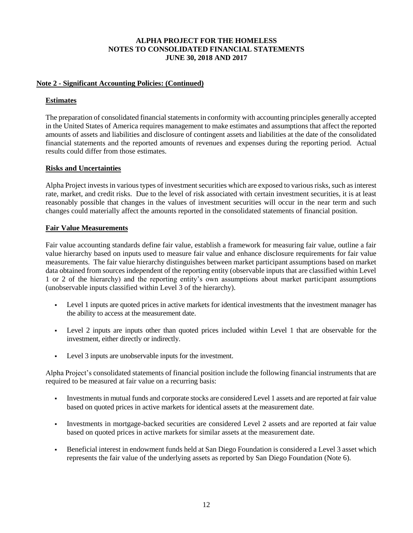# **Note 2 - Significant Accounting Policies: (Continued)**

# **Estimates**

The preparation of consolidated financial statements in conformity with accounting principles generally accepted in the United States of America requires management to make estimates and assumptions that affect the reported amounts of assets and liabilities and disclosure of contingent assets and liabilities at the date of the consolidated financial statements and the reported amounts of revenues and expenses during the reporting period. Actual results could differ from those estimates.

# **Risks and Uncertainties**

Alpha Project invests in various types of investment securities which are exposed to various risks, such as interest rate, market, and credit risks. Due to the level of risk associated with certain investment securities, it is at least reasonably possible that changes in the values of investment securities will occur in the near term and such changes could materially affect the amounts reported in the consolidated statements of financial position.

## **Fair Value Measurements**

Fair value accounting standards define fair value, establish a framework for measuring fair value, outline a fair value hierarchy based on inputs used to measure fair value and enhance disclosure requirements for fair value measurements. The fair value hierarchy distinguishes between market participant assumptions based on market data obtained from sources independent of the reporting entity (observable inputs that are classified within Level 1 or 2 of the hierarchy) and the reporting entity's own assumptions about market participant assumptions (unobservable inputs classified within Level 3 of the hierarchy).

- Level 1 inputs are quoted prices in active markets for identical investments that the investment manager has the ability to access at the measurement date.
- Level 2 inputs are inputs other than quoted prices included within Level 1 that are observable for the investment, either directly or indirectly.
- Level 3 inputs are unobservable inputs for the investment.

Alpha Project's consolidated statements of financial position include the following financial instruments that are required to be measured at fair value on a recurring basis:

- Investments in mutual funds and corporate stocks are considered Level 1 assets and are reported at fair value based on quoted prices in active markets for identical assets at the measurement date.
- Investments in mortgage-backed securities are considered Level 2 assets and are reported at fair value based on quoted prices in active markets for similar assets at the measurement date.
- Beneficial interest in endowment funds held at San Diego Foundation is considered a Level 3 asset which represents the fair value of the underlying assets as reported by San Diego Foundation (Note 6).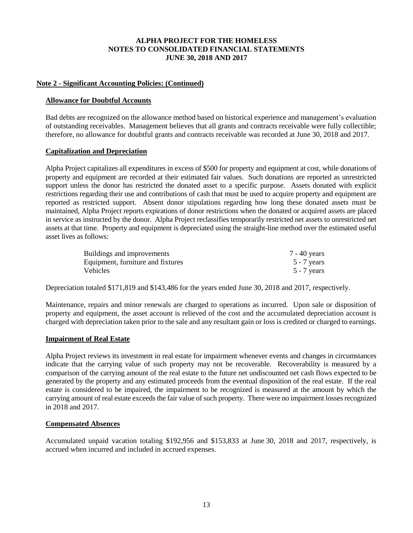## **Note 2 - Significant Accounting Policies: (Continued)**

#### **Allowance for Doubtful Accounts**

Bad debts are recognized on the allowance method based on historical experience and management's evaluation of outstanding receivables. Management believes that all grants and contracts receivable were fully collectible; therefore, no allowance for doubtful grants and contracts receivable was recorded at June 30, 2018 and 2017.

#### **Capitalization and Depreciation**

Alpha Project capitalizes all expenditures in excess of \$500 for property and equipment at cost, while donations of property and equipment are recorded at their estimated fair values. Such donations are reported as unrestricted support unless the donor has restricted the donated asset to a specific purpose. Assets donated with explicit restrictions regarding their use and contributions of cash that must be used to acquire property and equipment are reported as restricted support. Absent donor stipulations regarding how long these donated assets must be maintained, Alpha Project reports expirations of donor restrictions when the donated or acquired assets are placed in service as instructed by the donor. Alpha Project reclassifies temporarily restricted net assets to unrestricted net assets at that time. Property and equipment is depreciated using the straight-line method over the estimated useful asset lives as follows:

| Buildings and improvements        | 7 - 40 years |
|-----------------------------------|--------------|
| Equipment, furniture and fixtures | 5 - 7 years  |
| Vehicles                          | 5 - 7 years  |

Depreciation totaled \$171,819 and \$143,486 for the years ended June 30, 2018 and 2017, respectively.

Maintenance, repairs and minor renewals are charged to operations as incurred. Upon sale or disposition of property and equipment, the asset account is relieved of the cost and the accumulated depreciation account is charged with depreciation taken prior to the sale and any resultant gain or loss is credited or charged to earnings.

#### **Impairment of Real Estate**

Alpha Project reviews its investment in real estate for impairment whenever events and changes in circumstances indicate that the carrying value of such property may not be recoverable. Recoverability is measured by a comparison of the carrying amount of the real estate to the future net undiscounted net cash flows expected to be generated by the property and any estimated proceeds from the eventual disposition of the real estate. If the real estate is considered to be impaired, the impairment to be recognized is measured at the amount by which the carrying amount of real estate exceeds the fair value of such property. There were no impairment losses recognized in 2018 and 2017.

#### **Compensated Absences**

Accumulated unpaid vacation totaling \$192,956 and \$153,833 at June 30, 2018 and 2017, respectively, is accrued when incurred and included in accrued expenses.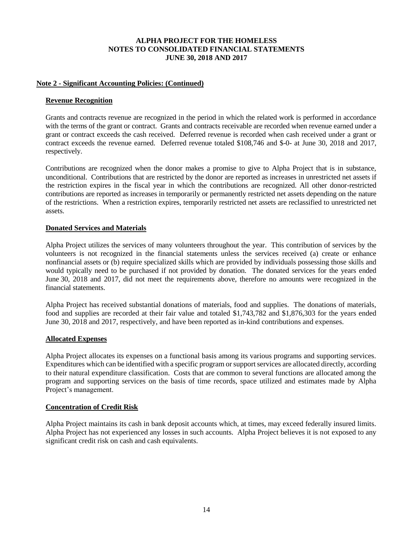## **Note 2 - Significant Accounting Policies: (Continued)**

#### **Revenue Recognition**

Grants and contracts revenue are recognized in the period in which the related work is performed in accordance with the terms of the grant or contract. Grants and contracts receivable are recorded when revenue earned under a grant or contract exceeds the cash received. Deferred revenue is recorded when cash received under a grant or contract exceeds the revenue earned. Deferred revenue totaled \$108,746 and \$-0- at June 30, 2018 and 2017, respectively.

Contributions are recognized when the donor makes a promise to give to Alpha Project that is in substance, unconditional. Contributions that are restricted by the donor are reported as increases in unrestricted net assets if the restriction expires in the fiscal year in which the contributions are recognized. All other donor-restricted contributions are reported as increases in temporarily or permanently restricted net assets depending on the nature of the restrictions. When a restriction expires, temporarily restricted net assets are reclassified to unrestricted net assets.

#### **Donated Services and Materials**

Alpha Project utilizes the services of many volunteers throughout the year. This contribution of services by the volunteers is not recognized in the financial statements unless the services received (a) create or enhance nonfinancial assets or (b) require specialized skills which are provided by individuals possessing those skills and would typically need to be purchased if not provided by donation. The donated services for the years ended June 30, 2018 and 2017, did not meet the requirements above, therefore no amounts were recognized in the financial statements.

Alpha Project has received substantial donations of materials, food and supplies. The donations of materials, food and supplies are recorded at their fair value and totaled \$1,743,782 and \$1,876,303 for the years ended June 30, 2018 and 2017, respectively, and have been reported as in-kind contributions and expenses.

## **Allocated Expenses**

Alpha Project allocates its expenses on a functional basis among its various programs and supporting services. Expenditures which can be identified with a specific program or support services are allocated directly, according to their natural expenditure classification. Costs that are common to several functions are allocated among the program and supporting services on the basis of time records, space utilized and estimates made by Alpha Project's management.

#### **Concentration of Credit Risk**

Alpha Project maintains its cash in bank deposit accounts which, at times, may exceed federally insured limits. Alpha Project has not experienced any losses in such accounts. Alpha Project believes it is not exposed to any significant credit risk on cash and cash equivalents.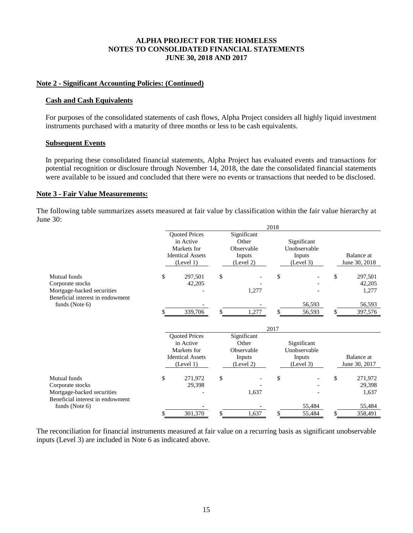### **Note 2 - Significant Accounting Policies: (Continued)**

#### **Cash and Cash Equivalents**

For purposes of the consolidated statements of cash flows, Alpha Project considers all highly liquid investment instruments purchased with a maturity of three months or less to be cash equivalents.

#### **Subsequent Events**

In preparing these consolidated financial statements, Alpha Project has evaluated events and transactions for potential recognition or disclosure through November 14, 2018, the date the consolidated financial statements were available to be issued and concluded that there were no events or transactions that needed to be disclosed.

#### **Note 3 - Fair Value Measurements:**

The following table summarizes assets measured at fair value by classification within the fair value hierarchy at June 30:

|                                                                |                         |    |                     | 2018 |                     |               |
|----------------------------------------------------------------|-------------------------|----|---------------------|------|---------------------|---------------|
|                                                                | <b>Quoted Prices</b>    |    | Significant         |      |                     |               |
|                                                                | in Active               |    | Other               |      | Significant         |               |
|                                                                | Markets for             |    | Observable          |      | Unobservable        |               |
|                                                                | <b>Identical Assets</b> |    | Inputs              |      | Inputs              | Balance at    |
|                                                                | (Level 1)               |    | (Level 2)           |      | (Level 3)           | June 30, 2018 |
|                                                                |                         |    |                     |      |                     |               |
| Mutual funds                                                   | \$<br>297,501           | \$ |                     | \$   |                     | \$<br>297,501 |
| Corporate stocks                                               | 42,205                  |    |                     |      |                     | 42,205        |
| Mortgage-backed securities<br>Beneficial interest in endowment |                         |    | 1,277               |      |                     | 1,277         |
| funds (Note 6)                                                 |                         |    |                     |      | 56,593              | 56,593        |
|                                                                | 339,706                 | S  | 1,277               | \$   | 56,593              | \$<br>397,576 |
|                                                                |                         |    |                     |      |                     |               |
|                                                                |                         |    |                     | 2017 |                     |               |
|                                                                | <b>Quoted Prices</b>    |    | Significant         |      |                     |               |
|                                                                |                         |    |                     |      |                     |               |
|                                                                | in Active               |    | Other               |      | Significant         |               |
|                                                                | Markets for             |    | Observable          |      | Unobservable        |               |
|                                                                | <b>Identical Assets</b> |    |                     |      |                     | Balance at    |
|                                                                | (Level 1)               |    | Inputs<br>(Level 2) |      | Inputs<br>(Level 3) | June 30, 2017 |
|                                                                |                         |    |                     |      |                     |               |
| Mutual funds                                                   | \$<br>271,972           | \$ |                     | \$   |                     | \$<br>271,972 |
| Corporate stocks                                               | 29,398                  |    |                     |      |                     | 29,398        |
| Mortgage-backed securities                                     |                         |    | 1,637               |      |                     | 1,637         |
| Beneficial interest in endowment                               |                         |    |                     |      |                     |               |
| funds (Note 6)                                                 |                         |    |                     |      | 55,484              | 55,484        |

The reconciliation for financial instruments measured at fair value on a recurring basis as significant unobservable inputs (Level 3) are included in Note 6 as indicated above.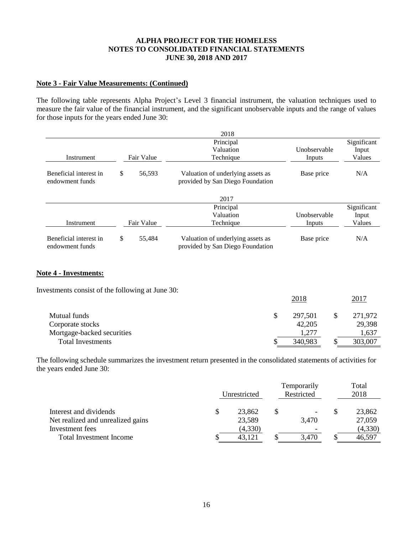### **Note 3 - Fair Value Measurements: (Continued)**

The following table represents Alpha Project's Level 3 financial instrument, the valuation techniques used to measure the fair value of the financial instrument, and the significant unobservable inputs and the range of values for those inputs for the years ended June 30:

|                                           |              | 2018                                                                  |              |             |
|-------------------------------------------|--------------|-----------------------------------------------------------------------|--------------|-------------|
|                                           |              | Principal                                                             |              | Significant |
|                                           |              | Valuation                                                             | Unobservable | Input       |
| Instrument                                | Fair Value   | Technique                                                             | Inputs       | Values      |
| Beneficial interest in<br>endowment funds | \$<br>56,593 | Valuation of underlying assets as<br>provided by San Diego Foundation | Base price   | N/A         |
|                                           |              | 2017                                                                  |              |             |
|                                           |              | Principal                                                             |              | Significant |
|                                           |              | Valuation                                                             | Unobservable | Input       |
| Instrument                                | Fair Value   | Technique                                                             | Inputs       | Values      |
| Beneficial interest in<br>endowment funds | \$<br>55,484 | Valuation of underlying assets as<br>provided by San Diego Foundation | Base price   | N/A         |

#### **Note 4 - Investments:**

Investments consist of the following at June 30:

|                            | $-0$ $-0$ | $-0$ .  |
|----------------------------|-----------|---------|
| Mutual funds               | 297,501   | 271,972 |
| Corporate stocks           | 42,205    | 29,398  |
| Mortgage-backed securities | 1,277     | 1,637   |
| <b>Total Investments</b>   | 340,983   | 303,007 |

2018 2017

The following schedule summarizes the investment return presented in the consolidated statements of activities for the years ended June 30:

|                                   | Unrestricted | Temporarily<br>Restricted | Total<br>2018 |  |         |
|-----------------------------------|--------------|---------------------------|---------------|--|---------|
| Interest and dividends            | S.           | 23,862                    | -             |  | 23,862  |
| Net realized and unrealized gains |              | 23,589                    | 3,470         |  | 27,059  |
| Investment fees                   |              | (4,330)                   |               |  | (4,330) |
| <b>Total Investment Income</b>    |              | 43.121                    | 3,470         |  | 46,597  |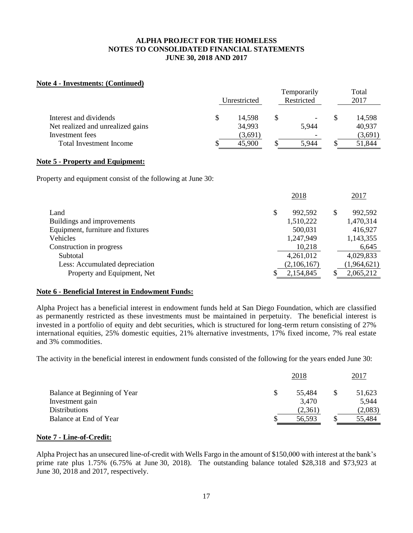### **Note 4 - Investments: (Continued)**

|                                   | Temporarily<br>Restricted<br>Unrestricted |  |       |  | Total<br>2017 |  |  |
|-----------------------------------|-------------------------------------------|--|-------|--|---------------|--|--|
| Interest and dividends            | 14,598                                    |  |       |  | 14,598        |  |  |
| Net realized and unrealized gains | 34,993                                    |  | 5,944 |  | 40,937        |  |  |
| Investment fees                   | (3,691)                                   |  |       |  | (3,691)       |  |  |
| <b>Total Investment Income</b>    | 45,900                                    |  | 5.944 |  | 51,844        |  |  |

#### **Note 5 - Property and Equipment:**

Property and equipment consist of the following at June 30:

|                                   |   | 2018        |   | 2017        |
|-----------------------------------|---|-------------|---|-------------|
| Land                              | S | 992,592     | S | 992,592     |
| Buildings and improvements        |   | 1,510,222   |   | 1,470,314   |
| Equipment, furniture and fixtures |   | 500,031     |   | 416,927     |
| Vehicles                          |   | 1,247,949   |   | 1,143,355   |
| Construction in progress          |   | 10,218      |   | 6,645       |
| Subtotal                          |   | 4,261,012   |   | 4,029,833   |
| Less: Accumulated depreciation    |   | (2,106,167) |   | (1,964,621) |
| Property and Equipment, Net       |   | 2,154,845   |   | 2,065,212   |

## **Note 6 - Beneficial Interest in Endowment Funds:**

Alpha Project has a beneficial interest in endowment funds held at San Diego Foundation, which are classified as permanently restricted as these investments must be maintained in perpetuity. The beneficial interest is invested in a portfolio of equity and debt securities, which is structured for long-term return consisting of 27% international equities, 25% domestic equities, 21% alternative investments, 17% fixed income, 7% real estate and 3% commodities.

The activity in the beneficial interest in endowment funds consisted of the following for the years ended June 30:

|                                                | 2018              |  |                   |
|------------------------------------------------|-------------------|--|-------------------|
| Balance at Beginning of Year                   | 55,484            |  | 51,623            |
| Investment gain                                | 3,470             |  | 5,944             |
| <b>Distributions</b><br>Balance at End of Year | (2,361)<br>56,593 |  | (2,083)<br>55,484 |
|                                                |                   |  |                   |

#### **Note 7 - Line-of-Credit:**

Alpha Project has an unsecured line-of-credit with Wells Fargo in the amount of \$150,000 with interest at the bank's prime rate plus 1.75% (6.75% at June 30, 2018). The outstanding balance totaled \$28,318 and \$73,923 at June 30, 2018 and 2017, respectively.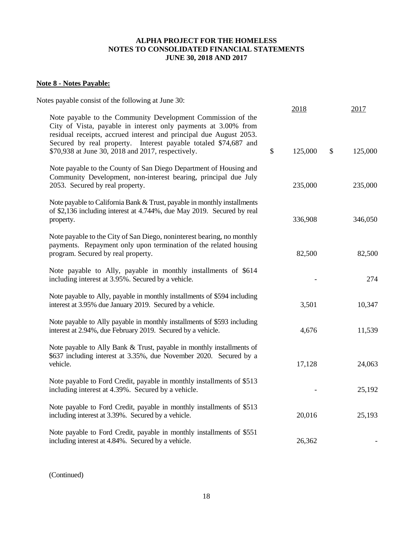# **Note 8 - Notes Payable:**

| Notes payable consist of the following at June 30:                                                                                                                                                                                                                                                                          |                       |                       |
|-----------------------------------------------------------------------------------------------------------------------------------------------------------------------------------------------------------------------------------------------------------------------------------------------------------------------------|-----------------------|-----------------------|
| Note payable to the Community Development Commission of the<br>City of Vista, payable in interest only payments at 3.00% from<br>residual receipts, accrued interest and principal due August 2053.<br>Secured by real property. Interest payable totaled \$74,687 and<br>\$70,938 at June 30, 2018 and 2017, respectively. | \$<br>2018<br>125,000 | \$<br>2017<br>125,000 |
| Note payable to the County of San Diego Department of Housing and<br>Community Development, non-interest bearing, principal due July<br>2053. Secured by real property.                                                                                                                                                     | 235,000               | 235,000               |
| Note payable to California Bank & Trust, payable in monthly installments<br>of \$2,136 including interest at 4.744%, due May 2019. Secured by real<br>property.                                                                                                                                                             | 336,908               | 346,050               |
| Note payable to the City of San Diego, noninterest bearing, no monthly<br>payments. Repayment only upon termination of the related housing<br>program. Secured by real property.                                                                                                                                            | 82,500                | 82,500                |
| Note payable to Ally, payable in monthly installments of \$614<br>including interest at 3.95%. Secured by a vehicle.                                                                                                                                                                                                        |                       | 274                   |
| Note payable to Ally, payable in monthly installments of \$594 including<br>interest at 3.95% due January 2019. Secured by a vehicle.                                                                                                                                                                                       | 3,501                 | 10,347                |
| Note payable to Ally payable in monthly installments of \$593 including<br>interest at 2.94%, due February 2019. Secured by a vehicle.                                                                                                                                                                                      | 4,676                 | 11,539                |
| Note payable to Ally Bank & Trust, payable in monthly installments of<br>\$637 including interest at 3.35%, due November 2020. Secured by a<br>vehicle.                                                                                                                                                                     | 17,128                | 24,063                |
| Note payable to Ford Credit, payable in monthly installments of \$513<br>including interest at 4.39%. Secured by a vehicle.                                                                                                                                                                                                 |                       | 25,192                |
| Note payable to Ford Credit, payable in monthly installments of \$513<br>including interest at 3.39%. Secured by a vehicle.                                                                                                                                                                                                 | 20,016                | 25,193                |
| Note payable to Ford Credit, payable in monthly installments of \$551<br>including interest at 4.84%. Secured by a vehicle.                                                                                                                                                                                                 | 26,362                |                       |

(Continued)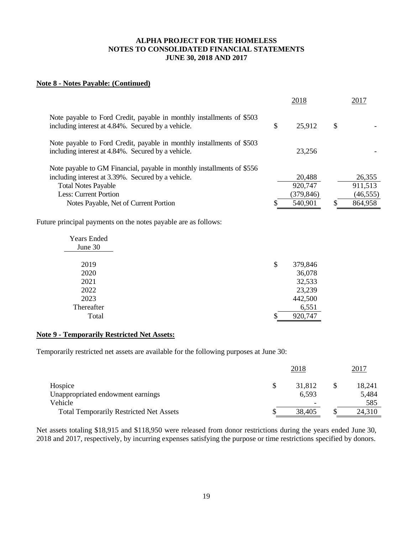# **Note 8 - Notes Payable: (Continued)**

|    | 2018                                                                 |    | 2017                                      |
|----|----------------------------------------------------------------------|----|-------------------------------------------|
| \$ | 25,912                                                               | \$ |                                           |
|    | 23,256                                                               |    |                                           |
| S  | 20,488<br>920,747<br>(379, 846)<br>540,901                           | S  | 26,355<br>911,513<br>(46, 555)<br>864,958 |
|    |                                                                      |    |                                           |
| \$ | 379,846<br>36,078<br>32,533<br>23,239<br>442,500<br>6,551<br>920,747 |    |                                           |
|    |                                                                      |    |                                           |

# **Note 9 - Temporarily Restricted Net Assets:**

Temporarily restricted net assets are available for the following purposes at June 30:

|                                                |    | 2018   | 2017   |
|------------------------------------------------|----|--------|--------|
| Hospice                                        | S  | 31,812 | 18,241 |
| Unappropriated endowment earnings              |    | 6,593  | 5,484  |
| Vehicle                                        |    |        | 585    |
| <b>Total Temporarily Restricted Net Assets</b> | ۰D | 38,405 | 24,310 |

Net assets totaling \$18,915 and \$118,950 were released from donor restrictions during the years ended June 30, 2018 and 2017, respectively, by incurring expenses satisfying the purpose or time restrictions specified by donors.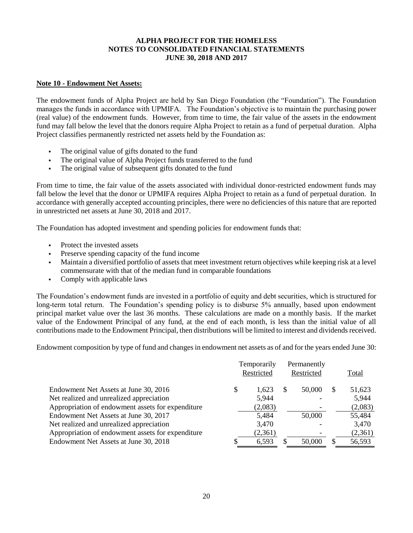## **Note 10 - Endowment Net Assets:**

The endowment funds of Alpha Project are held by San Diego Foundation (the "Foundation"). The Foundation manages the funds in accordance with UPMIFA. The Foundation's objective is to maintain the purchasing power (real value) of the endowment funds. However, from time to time, the fair value of the assets in the endowment fund may fall below the level that the donors require Alpha Project to retain as a fund of perpetual duration. Alpha Project classifies permanently restricted net assets held by the Foundation as:

- The original value of gifts donated to the fund
- The original value of Alpha Project funds transferred to the fund
- The original value of subsequent gifts donated to the fund

From time to time, the fair value of the assets associated with individual donor-restricted endowment funds may fall below the level that the donor or UPMIFA requires Alpha Project to retain as a fund of perpetual duration. In accordance with generally accepted accounting principles, there were no deficiencies of this nature that are reported in unrestricted net assets at June 30, 2018 and 2017.

The Foundation has adopted investment and spending policies for endowment funds that:

- Protect the invested assets
- Preserve spending capacity of the fund income
- Maintain a diversified portfolio of assets that meet investment return objectives while keeping risk at a level commensurate with that of the median fund in comparable foundations
- Comply with applicable laws

The Foundation's endowment funds are invested in a portfolio of equity and debt securities, which is structured for long-term total return. The Foundation's spending policy is to disburse 5% annually, based upon endowment principal market value over the last 36 months. These calculations are made on a monthly basis. If the market value of the Endowment Principal of any fund, at the end of each month, is less than the initial value of all contributions made to the Endowment Principal, then distributions will be limited to interest and dividends received.

Endowment composition by type of fund and changes in endowment net assets as of and for the years ended June 30:

|                                                   | Temporarily<br>Restricted | Permanently<br>Restricted |   | Total   |
|---------------------------------------------------|---------------------------|---------------------------|---|---------|
| Endowment Net Assets at June 30, 2016             | S<br>1.623                | \$<br>50,000              | S | 51,623  |
| Net realized and unrealized appreciation          | 5,944                     |                           |   | 5,944   |
| Appropriation of endowment assets for expenditure | (2,083)                   |                           |   | (2,083) |
| Endowment Net Assets at June 30, 2017             | 5,484                     | 50,000                    |   | 55,484  |
| Net realized and unrealized appreciation          | 3,470                     |                           |   | 3,470   |
| Appropriation of endowment assets for expenditure | (2,361)                   |                           |   | (2,361) |
| Endowment Net Assets at June 30, 2018             | 6,593                     | 50,000<br>S               |   | 56,593  |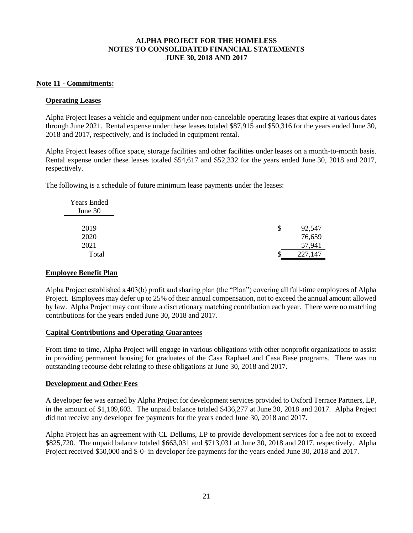### **Note 11 - Commitments:**

#### **Operating Leases**

Alpha Project leases a vehicle and equipment under non-cancelable operating leases that expire at various dates through June 2021. Rental expense under these leases totaled \$87,915 and \$50,316 for the years ended June 30, 2018 and 2017, respectively, and is included in equipment rental.

Alpha Project leases office space, storage facilities and other facilities under leases on a month-to-month basis. Rental expense under these leases totaled \$54,617 and \$52,332 for the years ended June 30, 2018 and 2017, respectively.

The following is a schedule of future minimum lease payments under the leases:

| <b>Years Ended</b> |    |         |
|--------------------|----|---------|
| June 30            |    |         |
|                    |    |         |
| 2019               | \$ | 92,547  |
| 2020               |    | 76,659  |
| 2021               |    | 57,941  |
| Total              | S  | 227,147 |

## **Employee Benefit Plan**

Alpha Project established a 403(b) profit and sharing plan (the "Plan") covering all full-time employees of Alpha Project. Employees may defer up to 25% of their annual compensation, not to exceed the annual amount allowed by law. Alpha Project may contribute a discretionary matching contribution each year. There were no matching contributions for the years ended June 30, 2018 and 2017.

## **Capital Contributions and Operating Guarantees**

From time to time, Alpha Project will engage in various obligations with other nonprofit organizations to assist in providing permanent housing for graduates of the Casa Raphael and Casa Base programs. There was no outstanding recourse debt relating to these obligations at June 30, 2018 and 2017.

## **Development and Other Fees**

A developer fee was earned by Alpha Project for development services provided to Oxford Terrace Partners, LP, in the amount of \$1,109,603. The unpaid balance totaled \$436,277 at June 30, 2018 and 2017. Alpha Project did not receive any developer fee payments for the years ended June 30, 2018 and 2017.

Alpha Project has an agreement with CL Dellums, LP to provide development services for a fee not to exceed \$825,720. The unpaid balance totaled \$663,031 and \$713,031 at June 30, 2018 and 2017, respectively. Alpha Project received \$50,000 and \$-0- in developer fee payments for the years ended June 30, 2018 and 2017.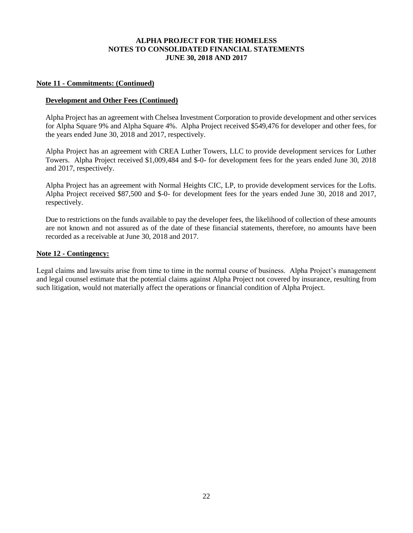### **Note 11 - Commitments: (Continued)**

#### **Development and Other Fees (Continued)**

Alpha Project has an agreement with Chelsea Investment Corporation to provide development and other services for Alpha Square 9% and Alpha Square 4%. Alpha Project received \$549,476 for developer and other fees, for the years ended June 30, 2018 and 2017, respectively.

Alpha Project has an agreement with CREA Luther Towers, LLC to provide development services for Luther Towers. Alpha Project received \$1,009,484 and \$-0- for development fees for the years ended June 30, 2018 and 2017, respectively.

Alpha Project has an agreement with Normal Heights CIC, LP, to provide development services for the Lofts. Alpha Project received \$87,500 and \$-0- for development fees for the years ended June 30, 2018 and 2017, respectively.

Due to restrictions on the funds available to pay the developer fees, the likelihood of collection of these amounts are not known and not assured as of the date of these financial statements, therefore, no amounts have been recorded as a receivable at June 30, 2018 and 2017.

#### **Note 12 - Contingency:**

Legal claims and lawsuits arise from time to time in the normal course of business. Alpha Project's management and legal counsel estimate that the potential claims against Alpha Project not covered by insurance, resulting from such litigation, would not materially affect the operations or financial condition of Alpha Project.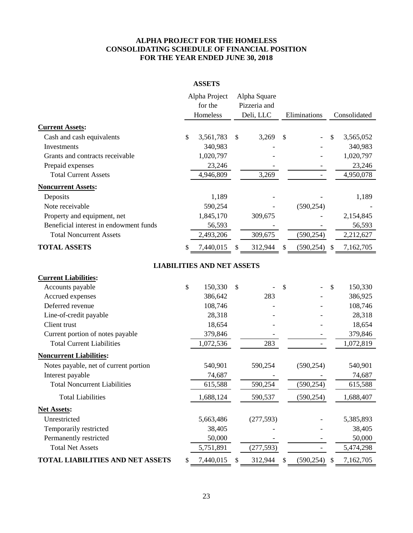# **ALPHA PROJECT FOR THE HOMELESS CONSOLIDATING SCHEDULE OF FINANCIAL POSITION FOR THE YEAR ENDED JUNE 30, 2018**

### **ASSETS**

|                                        | Alpha Project   |               | Alpha Square |                                |                 |
|----------------------------------------|-----------------|---------------|--------------|--------------------------------|-----------------|
|                                        | for the         |               | Pizzeria and |                                |                 |
|                                        | Homeless        |               | Deli, LLC    | Eliminations                   | Consolidated    |
| <b>Current Assets:</b>                 |                 |               |              |                                |                 |
| Cash and cash equivalents              | \$<br>3,561,783 | <sup>\$</sup> | 3,269        | \$<br>$\overline{\phantom{0}}$ | \$<br>3,565,052 |
| <b>Investments</b>                     | 340,983         |               |              |                                | 340,983         |
| Grants and contracts receivable        | 1,020,797       |               |              |                                | 1,020,797       |
| Prepaid expenses                       | 23,246          |               |              |                                | 23,246          |
| <b>Total Current Assets</b>            | 4,946,809       |               | 3,269        |                                | 4,950,078       |
| <b>Noncurrent Assets:</b>              |                 |               |              |                                |                 |
| Deposits                               | 1,189           |               |              |                                | 1,189           |
| Note receivable                        | 590,254         |               |              | (590, 254)                     |                 |
| Property and equipment, net            | 1,845,170       |               | 309,675      |                                | 2,154,845       |
| Beneficial interest in endowment funds | 56,593          |               |              |                                | 56,593          |
| <b>Total Noncurrent Assets</b>         | 2,493,206       |               | 309,675      | (590, 254)                     | 2,212,627       |
| <b>TOTAL ASSETS</b>                    | 7,440,015       |               | 312,944      | (590, 254)                     | 7,162,705       |
|                                        |                 |               |              |                                |                 |

# **LIABILITIES AND NET ASSETS**

| <b>Current Liabilities:</b>             |    |           |               |                  |     |           |
|-----------------------------------------|----|-----------|---------------|------------------|-----|-----------|
| Accounts payable                        | \$ | 150,330   | \$            | \$               | \$  | 150,330   |
| Accrued expenses                        |    | 386,642   | 283           |                  |     | 386,925   |
| Deferred revenue                        |    | 108,746   |               |                  |     | 108,746   |
| Line-of-credit payable                  |    | 28,318    |               |                  |     | 28,318    |
| Client trust                            |    | 18,654    |               |                  |     | 18,654    |
| Current portion of notes payable        |    | 379,846   |               |                  |     | 379,846   |
| <b>Total Current Liabilities</b>        |    | 1,072,536 | 283           |                  |     | 1,072,819 |
| <b>Noncurrent Liabilities:</b>          |    |           |               |                  |     |           |
| Notes payable, net of current portion   |    | 540,901   | 590,254       | (590, 254)       |     | 540,901   |
| Interest payable                        |    | 74,687    |               |                  |     | 74,687    |
| <b>Total Noncurrent Liabilities</b>     |    | 615,588   | 590,254       | (590, 254)       |     | 615,588   |
| <b>Total Liabilities</b>                |    | 1,688,124 | 590,537       | (590, 254)       |     | 1,688,407 |
| <b>Net Assets:</b>                      |    |           |               |                  |     |           |
| Unrestricted                            |    | 5,663,486 | (277, 593)    |                  |     | 5,385,893 |
| Temporarily restricted                  |    | 38,405    |               |                  |     | 38,405    |
| Permanently restricted                  |    | 50,000    |               |                  |     | 50,000    |
| <b>Total Net Assets</b>                 |    | 5,751,891 | (277, 593)    |                  |     | 5,474,298 |
| <b>TOTAL LIABILITIES AND NET ASSETS</b> | S  | 7,440,015 | \$<br>312,944 | \$<br>(590, 254) | \$. | 7,162,705 |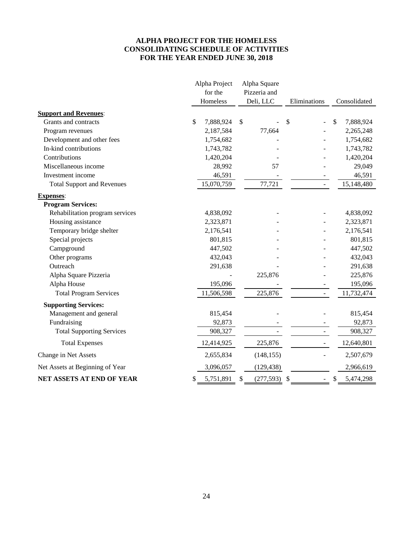# **ALPHA PROJECT FOR THE HOMELESS CONSOLIDATING SCHEDULE OF ACTIVITIES FOR THE YEAR ENDED JUNE 30, 2018**

|                                   | Alpha Project   | Alpha Square     |                                    |                          |              |  |
|-----------------------------------|-----------------|------------------|------------------------------------|--------------------------|--------------|--|
|                                   | for the         | Pizzeria and     |                                    |                          |              |  |
|                                   | Homeless        | Deli, LLC        | Eliminations                       |                          | Consolidated |  |
| <b>Support and Revenues:</b>      |                 |                  |                                    |                          |              |  |
| Grants and contracts              | \$<br>7,888,924 | \$               | \$<br>$\qquad \qquad \blacksquare$ | \$                       | 7,888,924    |  |
| Program revenues                  | 2,187,584       | 77,664           |                                    |                          | 2,265,248    |  |
| Development and other fees        | 1,754,682       |                  |                                    |                          | 1,754,682    |  |
| In-kind contributions             | 1,743,782       |                  |                                    |                          | 1,743,782    |  |
| Contributions                     | 1,420,204       |                  |                                    |                          | 1,420,204    |  |
| Miscellaneous income              | 28,992          | 57               |                                    |                          | 29,049       |  |
| Investment income                 | 46,591          |                  |                                    |                          | 46,591       |  |
| <b>Total Support and Revenues</b> | 15,070,759      | 77,721           |                                    |                          | 15,148,480   |  |
| <b>Expenses:</b>                  |                 |                  |                                    |                          |              |  |
| <b>Program Services:</b>          |                 |                  |                                    |                          |              |  |
| Rehabilitation program services   | 4,838,092       |                  |                                    |                          | 4,838,092    |  |
| Housing assistance                | 2,323,871       |                  |                                    |                          | 2,323,871    |  |
| Temporary bridge shelter          | 2,176,541       |                  |                                    |                          | 2,176,541    |  |
| Special projects                  | 801,815         |                  |                                    |                          | 801,815      |  |
| Campground                        | 447,502         |                  |                                    |                          | 447,502      |  |
| Other programs                    | 432,043         |                  |                                    |                          | 432,043      |  |
| Outreach                          | 291,638         |                  |                                    |                          | 291,638      |  |
| Alpha Square Pizzeria             |                 | 225,876          |                                    |                          | 225,876      |  |
| Alpha House                       | 195,096         |                  |                                    |                          | 195,096      |  |
| <b>Total Program Services</b>     | 11,506,598      | 225,876          |                                    | $\overline{\phantom{a}}$ | 11,732,474   |  |
| <b>Supporting Services:</b>       |                 |                  |                                    |                          |              |  |
| Management and general            | 815,454         |                  |                                    |                          | 815,454      |  |
| Fundraising                       | 92,873          |                  |                                    |                          | 92,873       |  |
| <b>Total Supporting Services</b>  | 908,327         |                  |                                    |                          | 908,327      |  |
| <b>Total Expenses</b>             | 12,414,925      | 225,876          |                                    |                          | 12,640,801   |  |
| Change in Net Assets              | 2,655,834       | (148, 155)       |                                    |                          | 2,507,679    |  |
| Net Assets at Beginning of Year   | 3,096,057       | (129, 438)       |                                    |                          | 2,966,619    |  |
| <b>NET ASSETS AT END OF YEAR</b>  | \$<br>5,751,891 | \$<br>(277, 593) | \$<br>$\overline{\phantom{a}}$     | \$                       | 5,474,298    |  |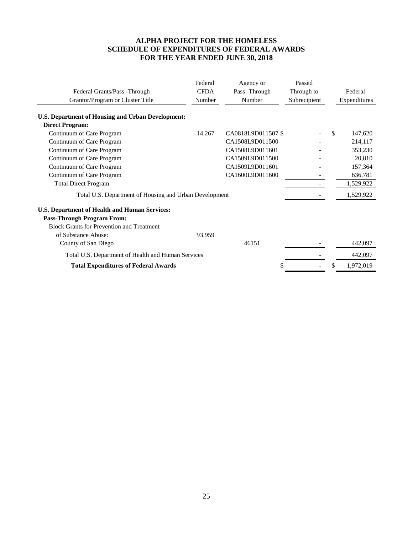# **ALPHA PROJECT FOR THE HOMELESS SCHEDULE OF EXPENDITURES OF FEDERAL AWARDS FOR THE YEAR ENDED JUNE 30, 2018**

| Federal Grants/Pass - Through<br>Grantor/Program or Cluster Title | Federal<br><b>CFDA</b><br>Number | Agency or<br>Pass - Through<br>Number | Passed<br>Through to<br>Subrecipient | Federal<br>Expenditures |
|-------------------------------------------------------------------|----------------------------------|---------------------------------------|--------------------------------------|-------------------------|
| U.S. Department of Housing and Urban Development:                 |                                  |                                       |                                      |                         |
| <b>Direct Program:</b>                                            |                                  |                                       |                                      |                         |
| Continuum of Care Program                                         | 14.267                           | CA0818L9D011507 \$                    |                                      | \$<br>147,620           |
| Continuum of Care Program                                         |                                  | CA1508L9D011500                       |                                      | 214,117                 |
| Continuum of Care Program                                         |                                  | CA1508L9D011601                       |                                      | 353,230                 |
| Continuum of Care Program                                         |                                  | CA1509L9D011500                       |                                      | 20,810                  |
| Continuum of Care Program                                         |                                  | CA1509L9D011601                       |                                      | 157,364                 |
| Continuum of Care Program                                         |                                  | CA1600L9D011600                       |                                      | 636,781                 |
| <b>Total Direct Program</b>                                       |                                  |                                       |                                      | 1,529,922               |
| Total U.S. Department of Housing and Urban Development            |                                  |                                       |                                      | 1,529,922               |
| U.S. Department of Health and Human Services:                     |                                  |                                       |                                      |                         |
| <b>Pass-Through Program From:</b>                                 |                                  |                                       |                                      |                         |
| <b>Block Grants for Prevention and Treatment</b>                  |                                  |                                       |                                      |                         |
| of Substance Abuse:                                               | 93.959                           |                                       |                                      |                         |
| County of San Diego                                               |                                  | 46151                                 |                                      | 442,097                 |
| Total U.S. Department of Health and Human Services                |                                  |                                       |                                      | 442,097                 |
| <b>Total Expenditures of Federal Awards</b>                       |                                  | \$                                    |                                      | 1,972,019               |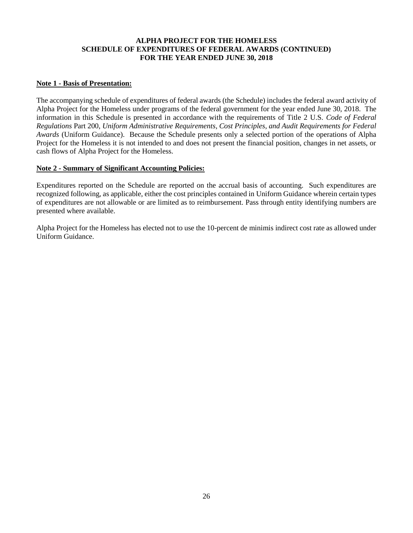# **ALPHA PROJECT FOR THE HOMELESS SCHEDULE OF EXPENDITURES OF FEDERAL AWARDS (CONTINUED) FOR THE YEAR ENDED JUNE 30, 2018**

## **Note 1 - Basis of Presentation:**

The accompanying schedule of expenditures of federal awards (the Schedule) includes the federal award activity of Alpha Project for the Homeless under programs of the federal government for the year ended June 30, 2018. The information in this Schedule is presented in accordance with the requirements of Title 2 U.S. *Code of Federal Regulations* Part 200, *Uniform Administrative Requirements, Cost Principles, and Audit Requirements for Federal Awards* (Uniform Guidance). Because the Schedule presents only a selected portion of the operations of Alpha Project for the Homeless it is not intended to and does not present the financial position, changes in net assets, or cash flows of Alpha Project for the Homeless.

# **Note 2 - Summary of Significant Accounting Policies:**

Expenditures reported on the Schedule are reported on the accrual basis of accounting. Such expenditures are recognized following, as applicable, either the cost principles contained in Uniform Guidance wherein certain types of expenditures are not allowable or are limited as to reimbursement. Pass through entity identifying numbers are presented where available.

Alpha Project for the Homeless has elected not to use the 10-percent de minimis indirect cost rate as allowed under Uniform Guidance.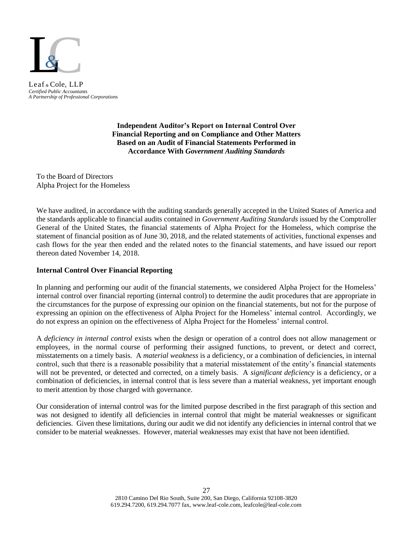

*Certified Public Accountants A Partnership of Professional Corporations*

> **Independent Auditor's Report on Internal Control Over Financial Reporting and on Compliance and Other Matters Based on an Audit of Financial Statements Performed in Accordance With** *Government Auditing Standards*

To the Board of Directors Alpha Project for the Homeless

We have audited, in accordance with the auditing standards generally accepted in the United States of America and the standards applicable to financial audits contained in *Government Auditing Standards* issued by the Comptroller General of the United States, the financial statements of Alpha Project for the Homeless, which comprise the statement of financial position as of June 30, 2018, and the related statements of activities, functional expenses and cash flows for the year then ended and the related notes to the financial statements, and have issued our report thereon dated November 14, 2018.

# **Internal Control Over Financial Reporting**

In planning and performing our audit of the financial statements, we considered Alpha Project for the Homeless' internal control over financial reporting (internal control) to determine the audit procedures that are appropriate in the circumstances for the purpose of expressing our opinion on the financial statements, but not for the purpose of expressing an opinion on the effectiveness of Alpha Project for the Homeless' internal control. Accordingly, we do not express an opinion on the effectiveness of Alpha Project for the Homeless' internal control.

A *deficiency in internal control* exists when the design or operation of a control does not allow management or employees, in the normal course of performing their assigned functions, to prevent, or detect and correct, misstatements on a timely basis. A *material weakness* is a deficiency, or a combination of deficiencies, in internal control, such that there is a reasonable possibility that a material misstatement of the entity's financial statements will not be prevented, or detected and corrected, on a timely basis. A *significant deficiency* is a deficiency, or a combination of deficiencies, in internal control that is less severe than a material weakness, yet important enough to merit attention by those charged with governance.

Our consideration of internal control was for the limited purpose described in the first paragraph of this section and was not designed to identify all deficiencies in internal control that might be material weaknesses or significant deficiencies. Given these limitations, during our audit we did not identify any deficiencies in internal control that we consider to be material weaknesses. However, material weaknesses may exist that have not been identified.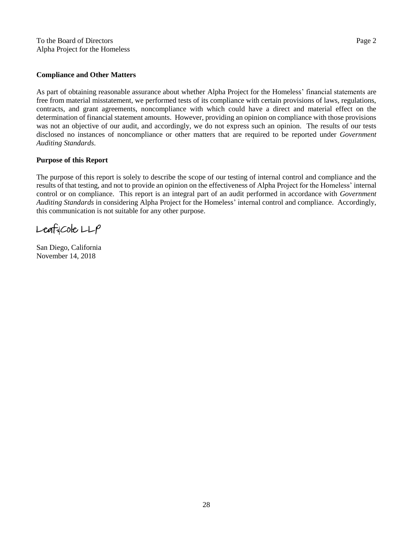#### **Compliance and Other Matters**

As part of obtaining reasonable assurance about whether Alpha Project for the Homeless' financial statements are free from material misstatement, we performed tests of its compliance with certain provisions of laws, regulations, contracts, and grant agreements, noncompliance with which could have a direct and material effect on the determination of financial statement amounts. However, providing an opinion on compliance with those provisions was not an objective of our audit, and accordingly, we do not express such an opinion. The results of our tests disclosed no instances of noncompliance or other matters that are required to be reported under *Government Auditing Standards*.

#### **Purpose of this Report**

The purpose of this report is solely to describe the scope of our testing of internal control and compliance and the results of that testing, and not to provide an opinion on the effectiveness of Alpha Project for the Homeless' internal control or on compliance. This report is an integral part of an audit performed in accordance with *Government Auditing Standards* in considering Alpha Project for the Homeless' internal control and compliance. Accordingly, this communication is not suitable for any other purpose.

 $L$ eaf $3$ Cole  $LLP$ 

San Diego, California November 14, 2018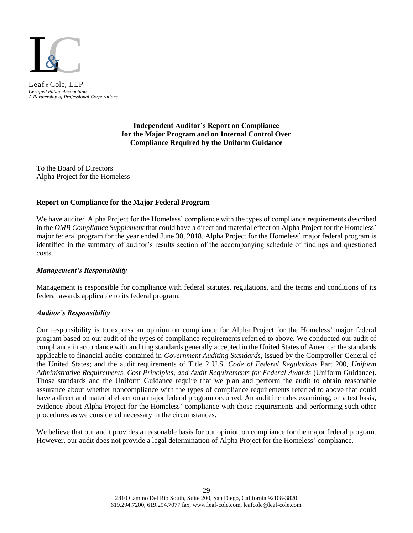

*Certified Public Accountants A Partnership of Professional Corporations*

> **Independent Auditor's Report on Compliance for the Major Program and on Internal Control Over Compliance Required by the Uniform Guidance**

To the Board of Directors Alpha Project for the Homeless

## **Report on Compliance for the Major Federal Program**

We have audited Alpha Project for the Homeless' compliance with the types of compliance requirements described in the *OMB Compliance Supplement* that could have a direct and material effect on Alpha Project for the Homeless' major federal program for the year ended June 30, 2018. Alpha Project for the Homeless' major federal program is identified in the summary of auditor's results section of the accompanying schedule of findings and questioned costs.

## *Management's Responsibility*

Management is responsible for compliance with federal statutes, regulations, and the terms and conditions of its federal awards applicable to its federal program.

## *Auditor's Responsibility*

Our responsibility is to express an opinion on compliance for Alpha Project for the Homeless' major federal program based on our audit of the types of compliance requirements referred to above. We conducted our audit of compliance in accordance with auditing standards generally accepted in the United States of America; the standards applicable to financial audits contained in *Government Auditing Standards*, issued by the Comptroller General of the United States; and the audit requirements of Title 2 U.S. *Code of Federal Regulations* Part 200, *Uniform Administrative Requirements, Cost Principles, and Audit Requirements for Federal Awards* (Uniform Guidance). Those standards and the Uniform Guidance require that we plan and perform the audit to obtain reasonable assurance about whether noncompliance with the types of compliance requirements referred to above that could have a direct and material effect on a major federal program occurred. An audit includes examining, on a test basis, evidence about Alpha Project for the Homeless' compliance with those requirements and performing such other procedures as we considered necessary in the circumstances.

We believe that our audit provides a reasonable basis for our opinion on compliance for the major federal program. However, our audit does not provide a legal determination of Alpha Project for the Homeless' compliance.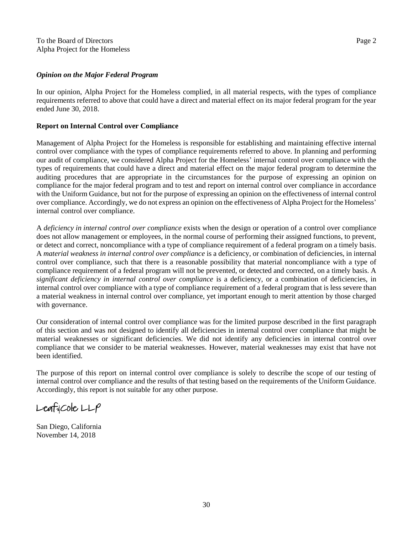#### *Opinion on the Major Federal Program*

In our opinion, Alpha Project for the Homeless complied, in all material respects, with the types of compliance requirements referred to above that could have a direct and material effect on its major federal program for the year ended June 30, 2018.

### **Report on Internal Control over Compliance**

Management of Alpha Project for the Homeless is responsible for establishing and maintaining effective internal control over compliance with the types of compliance requirements referred to above. In planning and performing our audit of compliance, we considered Alpha Project for the Homeless' internal control over compliance with the types of requirements that could have a direct and material effect on the major federal program to determine the auditing procedures that are appropriate in the circumstances for the purpose of expressing an opinion on compliance for the major federal program and to test and report on internal control over compliance in accordance with the Uniform Guidance, but not for the purpose of expressing an opinion on the effectiveness of internal control over compliance. Accordingly, we do not express an opinion on the effectiveness of Alpha Project for the Homeless' internal control over compliance.

A *deficiency in internal control over compliance* exists when the design or operation of a control over compliance does not allow management or employees, in the normal course of performing their assigned functions, to prevent, or detect and correct, noncompliance with a type of compliance requirement of a federal program on a timely basis. A *material weakness in internal control over compliance* is a deficiency, or combination of deficiencies, in internal control over compliance, such that there is a reasonable possibility that material noncompliance with a type of compliance requirement of a federal program will not be prevented, or detected and corrected, on a timely basis. A *significant deficiency in internal control over compliance* is a deficiency, or a combination of deficiencies, in internal control over compliance with a type of compliance requirement of a federal program that is less severe than a material weakness in internal control over compliance, yet important enough to merit attention by those charged with governance.

Our consideration of internal control over compliance was for the limited purpose described in the first paragraph of this section and was not designed to identify all deficiencies in internal control over compliance that might be material weaknesses or significant deficiencies. We did not identify any deficiencies in internal control over compliance that we consider to be material weaknesses. However, material weaknesses may exist that have not been identified.

The purpose of this report on internal control over compliance is solely to describe the scope of our testing of internal control over compliance and the results of that testing based on the requirements of the Uniform Guidance. Accordingly, this report is not suitable for any other purpose.

 $L$ eaf $3$ Cole  $LLP$ 

San Diego, California November 14, 2018